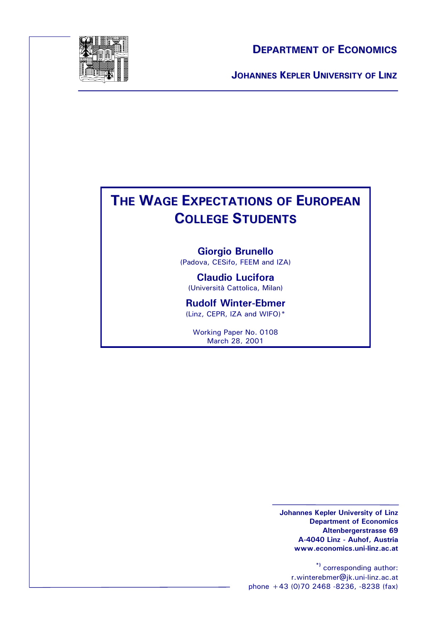

#### **DEPARTMENT OF ECONOMICS**

**JOHANNES KEPLER UNIVERSITY OF LINZ**

# **THE WAGE EXPECTATIONS OF EUROPEAN COLLEGE STUDENTS**

**Giorgio Brunello** (Padova, CESifo, FEEM and IZA)

**Claudio Lucifora** (Università Cattolica, Milan)

**Rudolf Winter-Ebmer** (Linz, CEPR, IZA and WIFO)\*

Working Paper No. 0108 March 28, 2001

> **Johannes Kepler University of Linz Department of Economics Altenbergerstrasse 69 A-4040 Linz - Auhof, Austria www.economics.uni-linz.ac.at**

**\*)** corresponding author: r.winterebmer@jk.uni-linz.ac.at phone +43 (0)70 2468 -8236, -8238 (fax)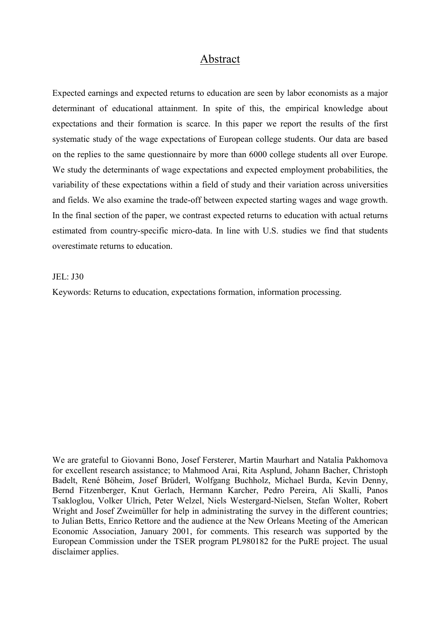#### Abstract

Expected earnings and expected returns to education are seen by labor economists as a major determinant of educational attainment. In spite of this, the empirical knowledge about expectations and their formation is scarce. In this paper we report the results of the first systematic study of the wage expectations of European college students. Our data are based on the replies to the same questionnaire by more than 6000 college students all over Europe. We study the determinants of wage expectations and expected employment probabilities, the variability of these expectations within a field of study and their variation across universities and fields. We also examine the trade-off between expected starting wages and wage growth. In the final section of the paper, we contrast expected returns to education with actual returns estimated from country-specific micro-data. In line with U.S. studies we find that students overestimate returns to education.

#### JEL: J30

Keywords: Returns to education, expectations formation, information processing.

We are grateful to Giovanni Bono, Josef Fersterer, Martin Maurhart and Natalia Pakhomova for excellent research assistance; to Mahmood Arai, Rita Asplund, Johann Bacher, Christoph Badelt, René Böheim, Josef Brüderl, Wolfgang Buchholz, Michael Burda, Kevin Denny, Bernd Fitzenberger, Knut Gerlach, Hermann Karcher, Pedro Pereira, Ali Skalli, Panos Tsakloglou, Volker Ulrich, Peter Welzel, Niels Westergard-Nielsen, Stefan Wolter, Robert Wright and Josef Zweimüller for help in administrating the survey in the different countries; to Julian Betts, Enrico Rettore and the audience at the New Orleans Meeting of the American Economic Association, January 2001, for comments. This research was supported by the European Commission under the TSER program PL980182 for the PuRE project. The usual disclaimer applies.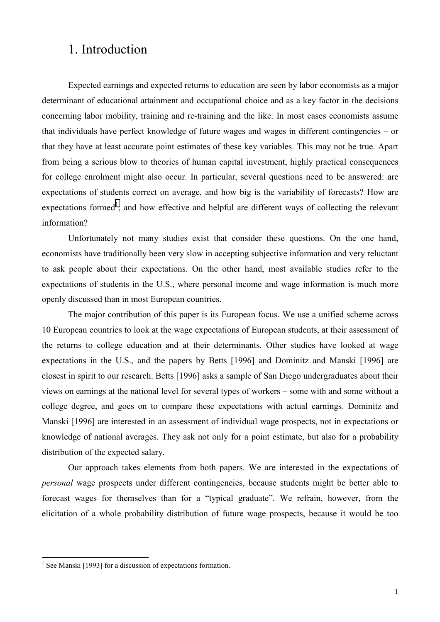## 1. Introduction

Expected earnings and expected returns to education are seen by labor economists as a major determinant of educational attainment and occupational choice and as a key factor in the decisions concerning labor mobility, training and re-training and the like. In most cases economists assume that individuals have perfect knowledge of future wages and wages in different contingencies – or that they have at least accurate point estimates of these key variables. This may not be true. Apart from being a serious blow to theories of human capital investment, highly practical consequences for college enrolment might also occur. In particular, several questions need to be answered: are expectations of students correct on average, and how big is the variability of forecasts? How are expectations formed<sup>1</sup>, and how effective and helpful are different ways of collecting the relevant information?

Unfortunately not many studies exist that consider these questions. On the one hand, economists have traditionally been very slow in accepting subjective information and very reluctant to ask people about their expectations. On the other hand, most available studies refer to the expectations of students in the U.S., where personal income and wage information is much more openly discussed than in most European countries.

The major contribution of this paper is its European focus. We use a unified scheme across 10 European countries to look at the wage expectations of European students, at their assessment of the returns to college education and at their determinants. Other studies have looked at wage expectations in the U.S., and the papers by Betts [1996] and Dominitz and Manski [1996] are closest in spirit to our research. Betts [1996] asks a sample of San Diego undergraduates about their views on earnings at the national level for several types of workers – some with and some without a college degree, and goes on to compare these expectations with actual earnings. Dominitz and Manski [1996] are interested in an assessment of individual wage prospects, not in expectations or knowledge of national averages. They ask not only for a point estimate, but also for a probability distribution of the expected salary.

Our approach takes elements from both papers. We are interested in the expectations of *personal* wage prospects under different contingencies, because students might be better able to forecast wages for themselves than for a "typical graduate". We refrain, however, from the elicitation of a whole probability distribution of future wage prospects, because it would be too

<sup>&</sup>lt;sup>1</sup> See Manski [1993] for a discussion of expectations formation.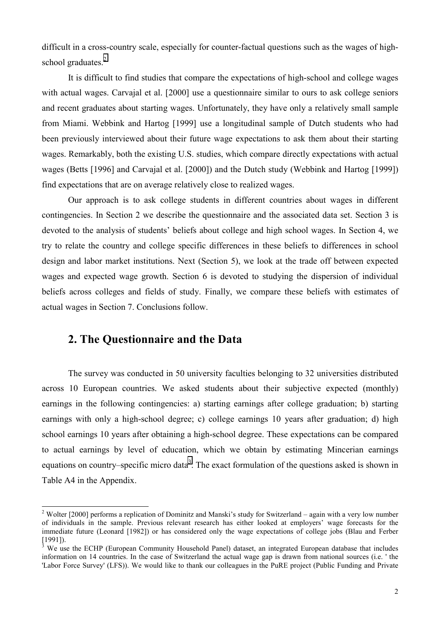difficult in a cross-country scale, especially for counter-factual questions such as the wages of highschool graduates.<sup>2</sup>

It is difficult to find studies that compare the expectations of high-school and college wages with actual wages. Carvajal et al. [2000] use a questionnaire similar to ours to ask college seniors and recent graduates about starting wages. Unfortunately, they have only a relatively small sample from Miami. Webbink and Hartog [1999] use a longitudinal sample of Dutch students who had been previously interviewed about their future wage expectations to ask them about their starting wages. Remarkably, both the existing U.S. studies, which compare directly expectations with actual wages (Betts [1996] and Carvajal et al. [2000]) and the Dutch study (Webbink and Hartog [1999]) find expectations that are on average relatively close to realized wages.

Our approach is to ask college students in different countries about wages in different contingencies. In Section 2 we describe the questionnaire and the associated data set. Section 3 is devoted to the analysis of students' beliefs about college and high school wages. In Section 4, we try to relate the country and college specific differences in these beliefs to differences in school design and labor market institutions. Next (Section 5), we look at the trade off between expected wages and expected wage growth. Section 6 is devoted to studying the dispersion of individual beliefs across colleges and fields of study. Finally, we compare these beliefs with estimates of actual wages in Section 7. Conclusions follow.

#### **2. The Questionnaire and the Data**

 $\overline{a}$ 

The survey was conducted in 50 university faculties belonging to 32 universities distributed across 10 European countries. We asked students about their subjective expected (monthly) earnings in the following contingencies: a) starting earnings after college graduation; b) starting earnings with only a high-school degree; c) college earnings 10 years after graduation; d) high school earnings 10 years after obtaining a high-school degree. These expectations can be compared to actual earnings by level of education, which we obtain by estimating Mincerian earnings equations on country–specific micro data<sup>3</sup>. The exact formulation of the questions asked is shown in Table A4 in the Appendix.

<sup>&</sup>lt;sup>2</sup> Wolter [2000] performs a replication of Dominitz and Manski's study for Switzerland – again with a very low number of individuals in the sample. Previous relevant research has either looked at employers' wage forecasts for the immediate future (Leonard [1982]) or has considered only the wage expectations of college jobs (Blau and Ferber [1991]).

 $\bar{3}$ We use the ECHP (European Community Household Panel) dataset, an integrated European database that includes information on 14 countries. In the case of Switzerland the actual wage gap is drawn from national sources (i.e. ' the 'Labor Force Survey' (LFS)). We would like to thank our colleagues in the PuRE project (Public Funding and Private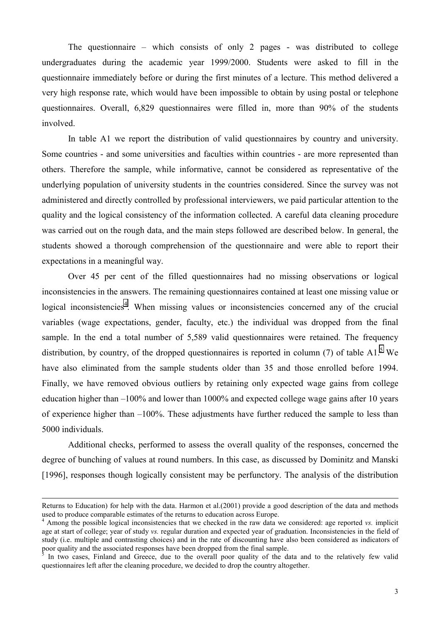The questionnaire – which consists of only 2 pages - was distributed to college undergraduates during the academic year 1999/2000. Students were asked to fill in the questionnaire immediately before or during the first minutes of a lecture. This method delivered a very high response rate, which would have been impossible to obtain by using postal or telephone questionnaires. Overall, 6,829 questionnaires were filled in, more than 90% of the students involved.

In table A1 we report the distribution of valid questionnaires by country and university. Some countries - and some universities and faculties within countries - are more represented than others. Therefore the sample, while informative, cannot be considered as representative of the underlying population of university students in the countries considered. Since the survey was not administered and directly controlled by professional interviewers, we paid particular attention to the quality and the logical consistency of the information collected. A careful data cleaning procedure was carried out on the rough data, and the main steps followed are described below. In general, the students showed a thorough comprehension of the questionnaire and were able to report their expectations in a meaningful way.

Over 45 per cent of the filled questionnaires had no missing observations or logical inconsistencies in the answers. The remaining questionnaires contained at least one missing value or logical inconsistencies<sup>4</sup>. When missing values or inconsistencies concerned any of the crucial variables (wage expectations, gender, faculty, etc.) the individual was dropped from the final sample. In the end a total number of 5,589 valid questionnaires were retained. The frequency distribution, by country, of the dropped questionnaires is reported in column (7) of table A1.<sup>5</sup> We have also eliminated from the sample students older than 35 and those enrolled before 1994. Finally, we have removed obvious outliers by retaining only expected wage gains from college education higher than –100% and lower than 1000% and expected college wage gains after 10 years of experience higher than –100%. These adjustments have further reduced the sample to less than 5000 individuals.

Additional checks, performed to assess the overall quality of the responses, concerned the degree of bunching of values at round numbers. In this case, as discussed by Dominitz and Manski [1996], responses though logically consistent may be perfunctory. The analysis of the distribution

l

Returns to Education) for help with the data. Harmon et al.(2001) provide a good description of the data and methods used to produce comparable estimates of the returns to education across Europe.

<sup>4</sup> Among the possible logical inconsistencies that we checked in the raw data we considered: age reported *vs.* implicit age at start of college; year of study *vs.* regular duration and expected year of graduation. Inconsistencies in the field of study (i.e. multiple and contrasting choices) and in the rate of discounting have also been considered as indicators of poor quality and the associated responses have been dropped from the final sample.

<sup>5</sup> In two cases, Finland and Greece, due to the overall poor quality of the data and to the relatively few valid questionnaires left after the cleaning procedure, we decided to drop the country altogether.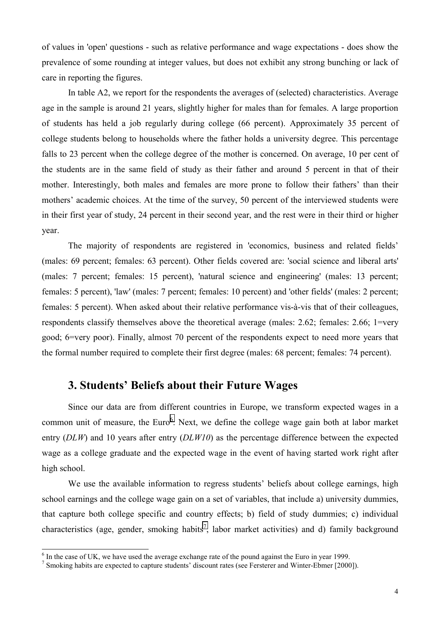of values in 'open' questions - such as relative performance and wage expectations - does show the prevalence of some rounding at integer values, but does not exhibit any strong bunching or lack of care in reporting the figures.

In table A2, we report for the respondents the averages of (selected) characteristics. Average age in the sample is around 21 years, slightly higher for males than for females. A large proportion of students has held a job regularly during college (66 percent). Approximately 35 percent of college students belong to households where the father holds a university degree. This percentage falls to 23 percent when the college degree of the mother is concerned. On average, 10 per cent of the students are in the same field of study as their father and around 5 percent in that of their mother. Interestingly, both males and females are more prone to follow their fathers' than their mothers' academic choices. At the time of the survey, 50 percent of the interviewed students were in their first year of study, 24 percent in their second year, and the rest were in their third or higher year.

The majority of respondents are registered in 'economics, business and related fields' (males: 69 percent; females: 63 percent). Other fields covered are: 'social science and liberal arts' (males: 7 percent; females: 15 percent), 'natural science and engineering' (males: 13 percent; females: 5 percent), 'law' (males: 7 percent; females: 10 percent) and 'other fields' (males: 2 percent; females: 5 percent). When asked about their relative performance vis-à-vis that of their colleagues, respondents classify themselves above the theoretical average (males: 2.62; females: 2.66; 1=very good; 6=very poor). Finally, almost 70 percent of the respondents expect to need more years that the formal number required to complete their first degree (males: 68 percent; females: 74 percent).

### **3. Students' Beliefs about their Future Wages**

Since our data are from different countries in Europe, we transform expected wages in a common unit of measure, the Euro<sup>6</sup>. Next, we define the college wage gain both at labor market entry (*DLW*) and 10 years after entry (*DLW10*) as the percentage difference between the expected wage as a college graduate and the expected wage in the event of having started work right after high school.

We use the available information to regress students' beliefs about college earnings, high school earnings and the college wage gain on a set of variables, that include a) university dummies, that capture both college specific and country effects; b) field of study dummies; c) individual characteristics (age, gender, smoking habits<sup>7</sup>, labor market activities) and d) family background

<sup>&</sup>lt;sup>6</sup> In the case of UK, we have used the average exchange rate of the pound against the Euro in year 1999.

<sup>&</sup>lt;sup>7</sup> Smoking habits are expected to capture students' discount rates (see Fersterer and Winter-Ebmer [2000]).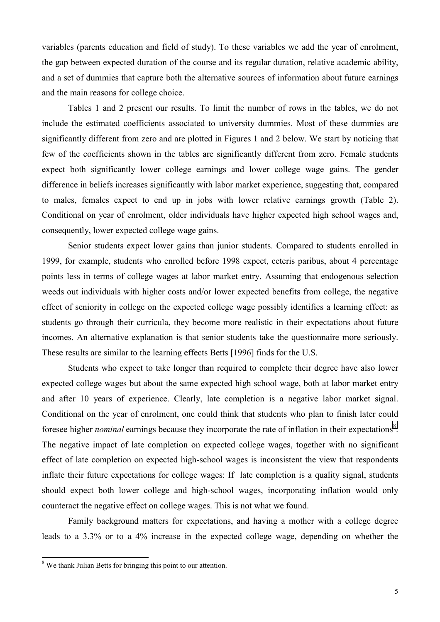variables (parents education and field of study). To these variables we add the year of enrolment, the gap between expected duration of the course and its regular duration, relative academic ability, and a set of dummies that capture both the alternative sources of information about future earnings and the main reasons for college choice.

Tables 1 and 2 present our results. To limit the number of rows in the tables, we do not include the estimated coefficients associated to university dummies. Most of these dummies are significantly different from zero and are plotted in Figures 1 and 2 below. We start by noticing that few of the coefficients shown in the tables are significantly different from zero. Female students expect both significantly lower college earnings and lower college wage gains. The gender difference in beliefs increases significantly with labor market experience, suggesting that, compared to males, females expect to end up in jobs with lower relative earnings growth (Table 2). Conditional on year of enrolment, older individuals have higher expected high school wages and, consequently, lower expected college wage gains.

Senior students expect lower gains than junior students. Compared to students enrolled in 1999, for example, students who enrolled before 1998 expect, ceteris paribus, about 4 percentage points less in terms of college wages at labor market entry. Assuming that endogenous selection weeds out individuals with higher costs and/or lower expected benefits from college, the negative effect of seniority in college on the expected college wage possibly identifies a learning effect: as students go through their curricula, they become more realistic in their expectations about future incomes. An alternative explanation is that senior students take the questionnaire more seriously. These results are similar to the learning effects Betts [1996] finds for the U.S.

Students who expect to take longer than required to complete their degree have also lower expected college wages but about the same expected high school wage, both at labor market entry and after 10 years of experience. Clearly, late completion is a negative labor market signal. Conditional on the year of enrolment, one could think that students who plan to finish later could foresee higher *nominal* earnings because they incorporate the rate of inflation in their expectations<sup>8</sup>. The negative impact of late completion on expected college wages, together with no significant effect of late completion on expected high-school wages is inconsistent the view that respondents inflate their future expectations for college wages: If late completion is a quality signal, students should expect both lower college and high-school wages, incorporating inflation would only counteract the negative effect on college wages. This is not what we found.

Family background matters for expectations, and having a mother with a college degree leads to a 3.3% or to a 4% increase in the expected college wage, depending on whether the

<sup>&</sup>lt;sup>8</sup> We thank Julian Betts for bringing this point to our attention.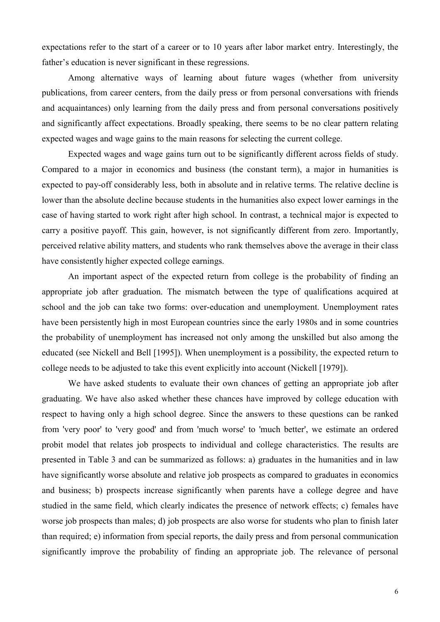expectations refer to the start of a career or to 10 years after labor market entry. Interestingly, the father's education is never significant in these regressions.

Among alternative ways of learning about future wages (whether from university publications, from career centers, from the daily press or from personal conversations with friends and acquaintances) only learning from the daily press and from personal conversations positively and significantly affect expectations. Broadly speaking, there seems to be no clear pattern relating expected wages and wage gains to the main reasons for selecting the current college.

Expected wages and wage gains turn out to be significantly different across fields of study. Compared to a major in economics and business (the constant term), a major in humanities is expected to pay-off considerably less, both in absolute and in relative terms. The relative decline is lower than the absolute decline because students in the humanities also expect lower earnings in the case of having started to work right after high school. In contrast, a technical major is expected to carry a positive payoff. This gain, however, is not significantly different from zero. Importantly, perceived relative ability matters, and students who rank themselves above the average in their class have consistently higher expected college earnings.

An important aspect of the expected return from college is the probability of finding an appropriate job after graduation. The mismatch between the type of qualifications acquired at school and the job can take two forms: over-education and unemployment. Unemployment rates have been persistently high in most European countries since the early 1980s and in some countries the probability of unemployment has increased not only among the unskilled but also among the educated (see Nickell and Bell [1995]). When unemployment is a possibility, the expected return to college needs to be adjusted to take this event explicitly into account (Nickell [1979]).

We have asked students to evaluate their own chances of getting an appropriate job after graduating. We have also asked whether these chances have improved by college education with respect to having only a high school degree. Since the answers to these questions can be ranked from 'very poor' to 'very good' and from 'much worse' to 'much better', we estimate an ordered probit model that relates job prospects to individual and college characteristics. The results are presented in Table 3 and can be summarized as follows: a) graduates in the humanities and in law have significantly worse absolute and relative job prospects as compared to graduates in economics and business; b) prospects increase significantly when parents have a college degree and have studied in the same field, which clearly indicates the presence of network effects; c) females have worse job prospects than males; d) job prospects are also worse for students who plan to finish later than required; e) information from special reports, the daily press and from personal communication significantly improve the probability of finding an appropriate job. The relevance of personal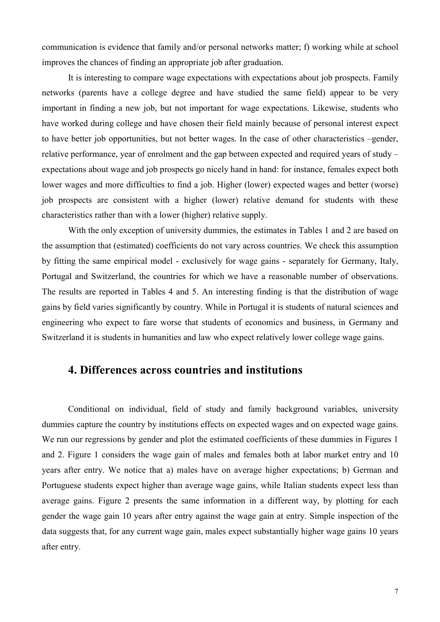communication is evidence that family and/or personal networks matter; f) working while at school improves the chances of finding an appropriate job after graduation.

It is interesting to compare wage expectations with expectations about job prospects. Family networks (parents have a college degree and have studied the same field) appear to be very important in finding a new job, but not important for wage expectations. Likewise, students who have worked during college and have chosen their field mainly because of personal interest expect to have better job opportunities, but not better wages. In the case of other characteristics –gender, relative performance, year of enrolment and the gap between expected and required years of study – expectations about wage and job prospects go nicely hand in hand: for instance, females expect both lower wages and more difficulties to find a job. Higher (lower) expected wages and better (worse) job prospects are consistent with a higher (lower) relative demand for students with these characteristics rather than with a lower (higher) relative supply.

With the only exception of university dummies, the estimates in Tables 1 and 2 are based on the assumption that (estimated) coefficients do not vary across countries. We check this assumption by fitting the same empirical model - exclusively for wage gains - separately for Germany, Italy, Portugal and Switzerland, the countries for which we have a reasonable number of observations. The results are reported in Tables 4 and 5. An interesting finding is that the distribution of wage gains by field varies significantly by country. While in Portugal it is students of natural sciences and engineering who expect to fare worse that students of economics and business, in Germany and Switzerland it is students in humanities and law who expect relatively lower college wage gains.

## **4. Differences across countries and institutions**

Conditional on individual, field of study and family background variables, university dummies capture the country by institutions effects on expected wages and on expected wage gains. We run our regressions by gender and plot the estimated coefficients of these dummies in Figures 1 and 2. Figure 1 considers the wage gain of males and females both at labor market entry and 10 years after entry. We notice that a) males have on average higher expectations; b) German and Portuguese students expect higher than average wage gains, while Italian students expect less than average gains. Figure 2 presents the same information in a different way, by plotting for each gender the wage gain 10 years after entry against the wage gain at entry. Simple inspection of the data suggests that, for any current wage gain, males expect substantially higher wage gains 10 years after entry.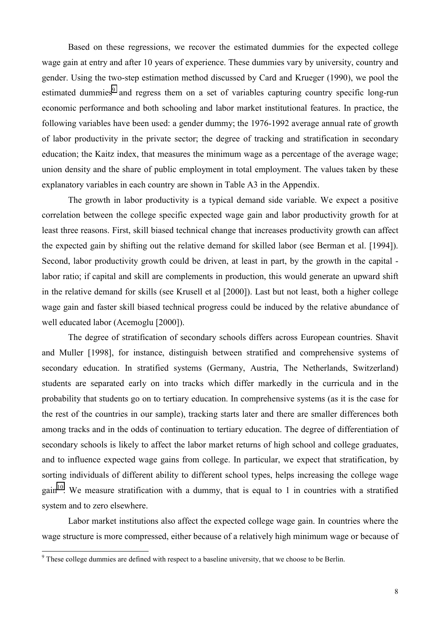Based on these regressions, we recover the estimated dummies for the expected college wage gain at entry and after 10 years of experience. These dummies vary by university, country and gender. Using the two-step estimation method discussed by Card and Krueger (1990), we pool the estimated dummies<sup>9</sup> and regress them on a set of variables capturing country specific long-run economic performance and both schooling and labor market institutional features. In practice, the following variables have been used: a gender dummy; the 1976-1992 average annual rate of growth of labor productivity in the private sector; the degree of tracking and stratification in secondary education; the Kaitz index, that measures the minimum wage as a percentage of the average wage; union density and the share of public employment in total employment. The values taken by these explanatory variables in each country are shown in Table A3 in the Appendix.

The growth in labor productivity is a typical demand side variable. We expect a positive correlation between the college specific expected wage gain and labor productivity growth for at least three reasons. First, skill biased technical change that increases productivity growth can affect the expected gain by shifting out the relative demand for skilled labor (see Berman et al. [1994]). Second, labor productivity growth could be driven, at least in part, by the growth in the capital labor ratio; if capital and skill are complements in production, this would generate an upward shift in the relative demand for skills (see Krusell et al [2000]). Last but not least, both a higher college wage gain and faster skill biased technical progress could be induced by the relative abundance of well educated labor (Acemoglu [2000]).

The degree of stratification of secondary schools differs across European countries. Shavit and Muller [1998], for instance, distinguish between stratified and comprehensive systems of secondary education. In stratified systems (Germany, Austria, The Netherlands, Switzerland) students are separated early on into tracks which differ markedly in the curricula and in the probability that students go on to tertiary education. In comprehensive systems (as it is the case for the rest of the countries in our sample), tracking starts later and there are smaller differences both among tracks and in the odds of continuation to tertiary education. The degree of differentiation of secondary schools is likely to affect the labor market returns of high school and college graduates, and to influence expected wage gains from college. In particular, we expect that stratification, by sorting individuals of different ability to different school types, helps increasing the college wage  $gain<sup>10</sup>$ . We measure stratification with a dummy, that is equal to 1 in countries with a stratified system and to zero elsewhere.

Labor market institutions also affect the expected college wage gain. In countries where the wage structure is more compressed, either because of a relatively high minimum wage or because of

<sup>&</sup>lt;sup>9</sup> These college dummies are defined with respect to a baseline university, that we choose to be Berlin.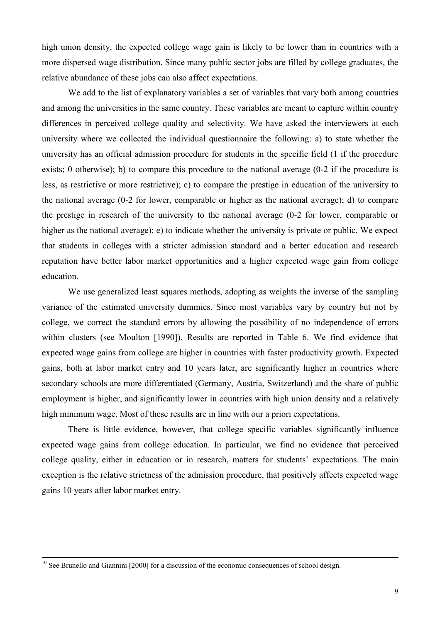high union density, the expected college wage gain is likely to be lower than in countries with a more dispersed wage distribution. Since many public sector jobs are filled by college graduates, the relative abundance of these jobs can also affect expectations.

We add to the list of explanatory variables a set of variables that vary both among countries and among the universities in the same country. These variables are meant to capture within country differences in perceived college quality and selectivity. We have asked the interviewers at each university where we collected the individual questionnaire the following: a) to state whether the university has an official admission procedure for students in the specific field (1 if the procedure exists; 0 otherwise); b) to compare this procedure to the national average (0-2 if the procedure is less, as restrictive or more restrictive); c) to compare the prestige in education of the university to the national average (0-2 for lower, comparable or higher as the national average); d) to compare the prestige in research of the university to the national average (0-2 for lower, comparable or higher as the national average); e) to indicate whether the university is private or public. We expect that students in colleges with a stricter admission standard and a better education and research reputation have better labor market opportunities and a higher expected wage gain from college education.

We use generalized least squares methods, adopting as weights the inverse of the sampling variance of the estimated university dummies. Since most variables vary by country but not by college, we correct the standard errors by allowing the possibility of no independence of errors within clusters (see Moulton [1990]). Results are reported in Table 6. We find evidence that expected wage gains from college are higher in countries with faster productivity growth. Expected gains, both at labor market entry and 10 years later, are significantly higher in countries where secondary schools are more differentiated (Germany, Austria, Switzerland) and the share of public employment is higher, and significantly lower in countries with high union density and a relatively high minimum wage. Most of these results are in line with our a priori expectations.

There is little evidence, however, that college specific variables significantly influence expected wage gains from college education. In particular, we find no evidence that perceived college quality, either in education or in research, matters for students' expectations. The main exception is the relative strictness of the admission procedure, that positively affects expected wage gains 10 years after labor market entry.

<sup>&</sup>lt;sup>10</sup> See Brunello and Giannini [2000] for a discussion of the economic consequences of school design.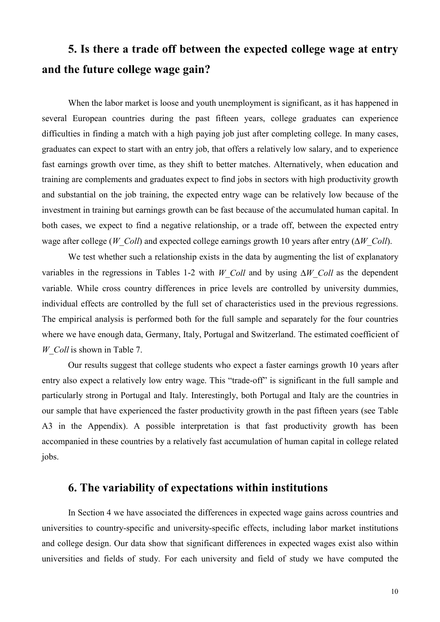# **5. Is there a trade off between the expected college wage at entry and the future college wage gain?**

When the labor market is loose and youth unemployment is significant, as it has happened in several European countries during the past fifteen years, college graduates can experience difficulties in finding a match with a high paying job just after completing college. In many cases, graduates can expect to start with an entry job, that offers a relatively low salary, and to experience fast earnings growth over time, as they shift to better matches. Alternatively, when education and training are complements and graduates expect to find jobs in sectors with high productivity growth and substantial on the job training, the expected entry wage can be relatively low because of the investment in training but earnings growth can be fast because of the accumulated human capital. In both cases, we expect to find a negative relationship, or a trade off, between the expected entry wage after college (*W\_Coll*) and expected college earnings growth 10 years after entry (∆*W\_Coll*).

We test whether such a relationship exists in the data by augmenting the list of explanatory variables in the regressions in Tables 1-2 with *W\_Coll* and by using ∆*W\_Coll* as the dependent variable. While cross country differences in price levels are controlled by university dummies, individual effects are controlled by the full set of characteristics used in the previous regressions. The empirical analysis is performed both for the full sample and separately for the four countries where we have enough data, Germany, Italy, Portugal and Switzerland. The estimated coefficient of *W\_Coll* is shown in Table 7.

Our results suggest that college students who expect a faster earnings growth 10 years after entry also expect a relatively low entry wage. This "trade-off" is significant in the full sample and particularly strong in Portugal and Italy. Interestingly, both Portugal and Italy are the countries in our sample that have experienced the faster productivity growth in the past fifteen years (see Table A3 in the Appendix). A possible interpretation is that fast productivity growth has been accompanied in these countries by a relatively fast accumulation of human capital in college related jobs.

## **6. The variability of expectations within institutions**

In Section 4 we have associated the differences in expected wage gains across countries and universities to country-specific and university-specific effects, including labor market institutions and college design. Our data show that significant differences in expected wages exist also within universities and fields of study. For each university and field of study we have computed the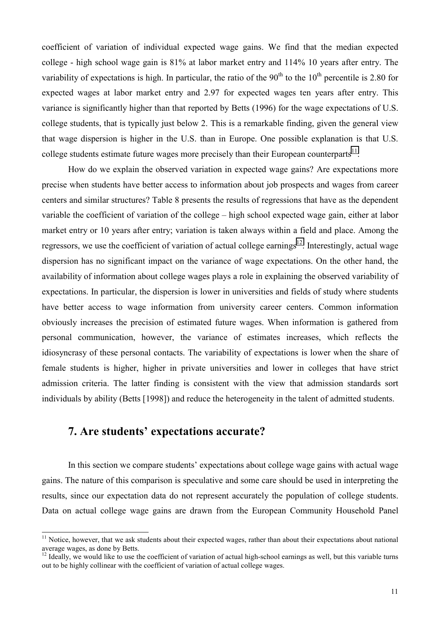coefficient of variation of individual expected wage gains. We find that the median expected college - high school wage gain is 81% at labor market entry and 114% 10 years after entry. The variability of expectations is high. In particular, the ratio of the  $90<sup>th</sup>$  to the  $10<sup>th</sup>$  percentile is 2.80 for expected wages at labor market entry and 2.97 for expected wages ten years after entry. This variance is significantly higher than that reported by Betts (1996) for the wage expectations of U.S. college students, that is typically just below 2. This is a remarkable finding, given the general view that wage dispersion is higher in the U.S. than in Europe. One possible explanation is that U.S. college students estimate future wages more precisely than their European counterparts<sup>11</sup>.

How do we explain the observed variation in expected wage gains? Are expectations more precise when students have better access to information about job prospects and wages from career centers and similar structures? Table 8 presents the results of regressions that have as the dependent variable the coefficient of variation of the college – high school expected wage gain, either at labor market entry or 10 years after entry; variation is taken always within a field and place. Among the regressors, we use the coefficient of variation of actual college earnings<sup>12</sup>. Interestingly, actual wage dispersion has no significant impact on the variance of wage expectations. On the other hand, the availability of information about college wages plays a role in explaining the observed variability of expectations. In particular, the dispersion is lower in universities and fields of study where students have better access to wage information from university career centers. Common information obviously increases the precision of estimated future wages. When information is gathered from personal communication, however, the variance of estimates increases, which reflects the idiosyncrasy of these personal contacts. The variability of expectations is lower when the share of female students is higher, higher in private universities and lower in colleges that have strict admission criteria. The latter finding is consistent with the view that admission standards sort individuals by ability (Betts [1998]) and reduce the heterogeneity in the talent of admitted students.

#### **7. Are students' expectations accurate?**

 $\overline{\phantom{a}}$ 

In this section we compare students' expectations about college wage gains with actual wage gains. The nature of this comparison is speculative and some care should be used in interpreting the results, since our expectation data do not represent accurately the population of college students. Data on actual college wage gains are drawn from the European Community Household Panel

 $11$  Notice, however, that we ask students about their expected wages, rather than about their expectations about national average wages, as done by Betts.

 $12$  Ideally, we would like to use the coefficient of variation of actual high-school earnings as well, but this variable turns out to be highly collinear with the coefficient of variation of actual college wages.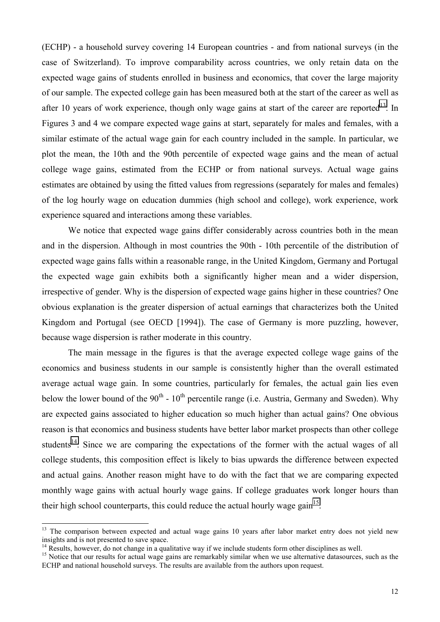(ECHP) - a household survey covering 14 European countries - and from national surveys (in the case of Switzerland). To improve comparability across countries, we only retain data on the expected wage gains of students enrolled in business and economics, that cover the large majority of our sample. The expected college gain has been measured both at the start of the career as well as after 10 years of work experience, though only wage gains at start of the career are reported<sup>13</sup>. In Figures 3 and 4 we compare expected wage gains at start, separately for males and females, with a similar estimate of the actual wage gain for each country included in the sample. In particular, we plot the mean, the 10th and the 90th percentile of expected wage gains and the mean of actual college wage gains, estimated from the ECHP or from national surveys. Actual wage gains estimates are obtained by using the fitted values from regressions (separately for males and females) of the log hourly wage on education dummies (high school and college), work experience, work experience squared and interactions among these variables.

We notice that expected wage gains differ considerably across countries both in the mean and in the dispersion. Although in most countries the 90th - 10th percentile of the distribution of expected wage gains falls within a reasonable range, in the United Kingdom, Germany and Portugal the expected wage gain exhibits both a significantly higher mean and a wider dispersion, irrespective of gender. Why is the dispersion of expected wage gains higher in these countries? One obvious explanation is the greater dispersion of actual earnings that characterizes both the United Kingdom and Portugal (see OECD [1994]). The case of Germany is more puzzling, however, because wage dispersion is rather moderate in this country.

The main message in the figures is that the average expected college wage gains of the economics and business students in our sample is consistently higher than the overall estimated average actual wage gain. In some countries, particularly for females, the actual gain lies even below the lower bound of the  $90<sup>th</sup>$  -  $10<sup>th</sup>$  percentile range (i.e. Austria, Germany and Sweden). Why are expected gains associated to higher education so much higher than actual gains? One obvious reason is that economics and business students have better labor market prospects than other college students<sup>14</sup>. Since we are comparing the expectations of the former with the actual wages of all college students, this composition effect is likely to bias upwards the difference between expected and actual gains. Another reason might have to do with the fact that we are comparing expected monthly wage gains with actual hourly wage gains. If college graduates work longer hours than their high school counterparts, this could reduce the actual hourly wage gain<sup>15</sup>.

 $\overline{a}$ 

<sup>&</sup>lt;sup>13</sup> The comparison between expected and actual wage gains 10 years after labor market entry does not yield new insights and is not presented to save space.

<sup>&</sup>lt;sup>14</sup> Results, however, do not change in a qualitative way if we include students form other disciplines as well.

<sup>&</sup>lt;sup>15</sup> Notice that our results for actual wage gains are remarkably similar when we use alternative datasources, such as the ECHP and national household surveys. The results are available from the authors upon request.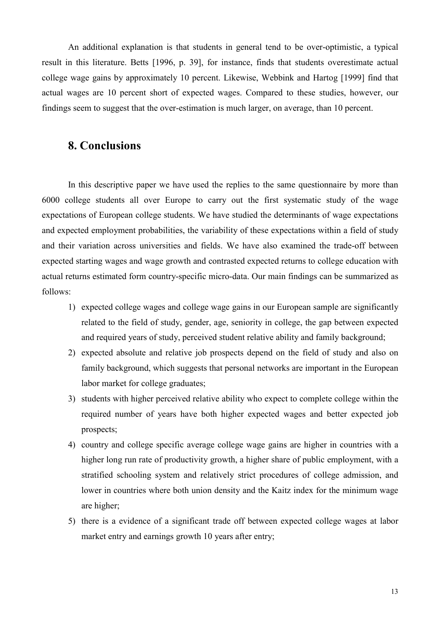An additional explanation is that students in general tend to be over-optimistic, a typical result in this literature. Betts [1996, p. 39], for instance, finds that students overestimate actual college wage gains by approximately 10 percent. Likewise, Webbink and Hartog [1999] find that actual wages are 10 percent short of expected wages. Compared to these studies, however, our findings seem to suggest that the over-estimation is much larger, on average, than 10 percent.

### **8. Conclusions**

In this descriptive paper we have used the replies to the same questionnaire by more than 6000 college students all over Europe to carry out the first systematic study of the wage expectations of European college students. We have studied the determinants of wage expectations and expected employment probabilities, the variability of these expectations within a field of study and their variation across universities and fields. We have also examined the trade-off between expected starting wages and wage growth and contrasted expected returns to college education with actual returns estimated form country-specific micro-data. Our main findings can be summarized as follows:

- 1) expected college wages and college wage gains in our European sample are significantly related to the field of study, gender, age, seniority in college, the gap between expected and required years of study, perceived student relative ability and family background;
- 2) expected absolute and relative job prospects depend on the field of study and also on family background, which suggests that personal networks are important in the European labor market for college graduates;
- 3) students with higher perceived relative ability who expect to complete college within the required number of years have both higher expected wages and better expected job prospects;
- 4) country and college specific average college wage gains are higher in countries with a higher long run rate of productivity growth, a higher share of public employment, with a stratified schooling system and relatively strict procedures of college admission, and lower in countries where both union density and the Kaitz index for the minimum wage are higher;
- 5) there is a evidence of a significant trade off between expected college wages at labor market entry and earnings growth 10 years after entry;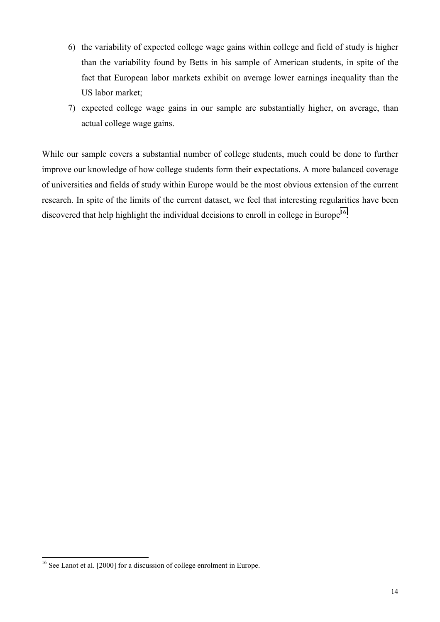- 6) the variability of expected college wage gains within college and field of study is higher than the variability found by Betts in his sample of American students, in spite of the fact that European labor markets exhibit on average lower earnings inequality than the US labor market;
- 7) expected college wage gains in our sample are substantially higher, on average, than actual college wage gains.

While our sample covers a substantial number of college students, much could be done to further improve our knowledge of how college students form their expectations. A more balanced coverage of universities and fields of study within Europe would be the most obvious extension of the current research. In spite of the limits of the current dataset, we feel that interesting regularities have been discovered that help highlight the individual decisions to enroll in college in Europe<sup>16</sup>.

 $\overline{a}$ 

<sup>&</sup>lt;sup>16</sup> See Lanot et al. [2000] for a discussion of college enrolment in Europe.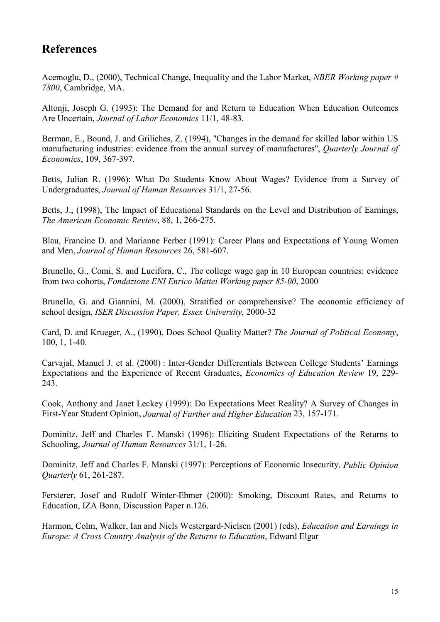## **References**

Acemoglu, D., (2000), Technical Change, Inequality and the Labor Market, *NBER Working paper # 7800*, Cambridge, MA.

Altonji, Joseph G. (1993): The Demand for and Return to Education When Education Outcomes Are Uncertain, *Journal of Labor Economics* 11/1, 48-83.

Berman, E., Bound, J. and Griliches, Z. (1994), ''Changes in the demand for skilled labor within US manufacturing industries: evidence from the annual survey of manufactures'', *Quarterly Journal of Economics*, 109, 367-397.

Betts, Julian R. (1996): What Do Students Know About Wages? Evidence from a Survey of Undergraduates, *Journal of Human Resources* 31/1, 27-56.

Betts, J., (1998), The Impact of Educational Standards on the Level and Distribution of Earnings, *The American Economic Review*, 88, 1, 266-275.

Blau, Francine D. and Marianne Ferber (1991): Career Plans and Expectations of Young Women and Men, *Journal of Human Resources* 26, 581-607.

Brunello, G., Comi, S. and Lucifora, C., The college wage gap in 10 European countries: evidence from two cohorts, *Fondazione ENI Enrico Mattei Working paper 85-00*, 2000

Brunello, G. and Giannini, M. (2000), Stratified or comprehensive? The economic efficiency of school design, *ISER Discussion Paper, Essex University,* 2000-32

Card, D. and Krueger, A., (1990), Does School Quality Matter? *The Journal of Political Economy*, 100, 1, 1-40.

Carvajal, Manuel J. et al. (2000) : Inter-Gender Differentials Between College Students' Earnings Expectations and the Experience of Recent Graduates, *Economics of Education Review* 19, 229- 243.

Cook, Anthony and Janet Leckey (1999): Do Expectations Meet Reality? A Survey of Changes in First-Year Student Opinion, *Journal of Further and Higher Education* 23, 157-171.

Dominitz, Jeff and Charles F. Manski (1996): Eliciting Student Expectations of the Returns to Schooling, *Journal of Human Resources* 31/1, 1-26.

Dominitz, Jeff and Charles F. Manski (1997): Perceptions of Economic Insecurity, *Public Opinion Quarterly* 61, 261-287.

Fersterer, Josef and Rudolf Winter-Ebmer (2000): Smoking, Discount Rates, and Returns to Education, IZA Bonn, Discussion Paper n.126.

Harmon, Colm, Walker, Ian and Niels Westergard-Nielsen (2001) (eds), *Education and Earnings in Europe: A Cross Country Analysis of the Returns to Education*, Edward Elgar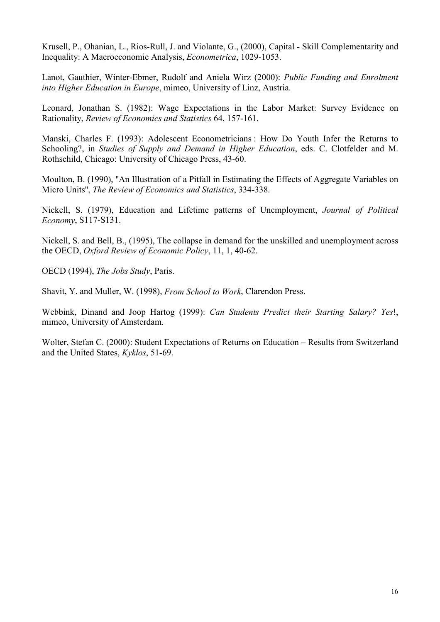Krusell, P., Ohanian, L., Rios-Rull, J. and Violante, G., (2000), Capital - Skill Complementarity and Inequality: A Macroeconomic Analysis, *Econometrica*, 1029-1053.

Lanot, Gauthier, Winter-Ebmer, Rudolf and Aniela Wirz (2000): *Public Funding and Enrolment into Higher Education in Europe*, mimeo, University of Linz, Austria.

Leonard, Jonathan S. (1982): Wage Expectations in the Labor Market: Survey Evidence on Rationality, *Review of Economics and Statistics* 64, 157-161.

Manski, Charles F. (1993): Adolescent Econometricians : How Do Youth Infer the Returns to Schooling?, in *Studies of Supply and Demand in Higher Education*, eds. C. Clotfelder and M. Rothschild, Chicago: University of Chicago Press, 43-60.

Moulton, B. (1990), ''An Illustration of a Pitfall in Estimating the Effects of Aggregate Variables on Micro Units'', *The Review of Economics and Statistics*, 334-338.

Nickell, S. (1979), Education and Lifetime patterns of Unemployment, *Journal of Political Economy*, S117-S131.

Nickell, S. and Bell, B., (1995), The collapse in demand for the unskilled and unemployment across the OECD, *Oxford Review of Economic Policy*, 11, 1, 40-62.

OECD (1994), *The Jobs Study*, Paris.

Shavit, Y. and Muller, W. (1998), *From School to Work*, Clarendon Press.

Webbink, Dinand and Joop Hartog (1999): *Can Students Predict their Starting Salary? Yes*!, mimeo, University of Amsterdam.

Wolter, Stefan C. (2000): Student Expectations of Returns on Education – Results from Switzerland and the United States, *Kyklos*, 51-69.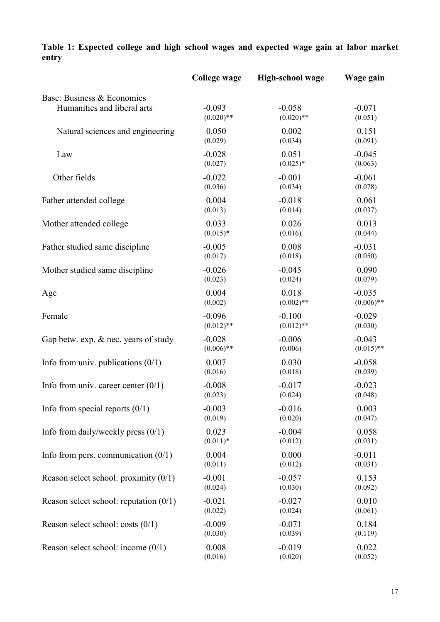|                                          | <b>College wage</b> | <b>High-school wage</b> | Wage gain    |
|------------------------------------------|---------------------|-------------------------|--------------|
| Base: Business & Economics               | $-0.093$            | $-0.058$                | $-0.071$     |
| Humanities and liberal arts              | $(0.020)$ **        | $(0.020)$ **            | (0.051)      |
| Natural sciences and engineering         | 0.050               | 0.002                   | 0.151        |
|                                          | (0.029)             | (0.034)                 | (0.091)      |
| Law                                      | $-0.028$            | 0.051                   | $-0.045$     |
|                                          | (0.027)             | $(0.025)*$              | (0.063)      |
| Other fields                             | $-0.022$            | $-0.001$                | $-0.061$     |
|                                          | (0.036)             | (0.034)                 | (0.078)      |
| Father attended college                  | 0.004               | $-0.018$                | 0.061        |
|                                          | (0.013)             | (0.014)                 | (0.037)      |
| Mother attended college                  | 0.033               | 0.026                   | 0.013        |
|                                          | $(0.015)*$          | (0.016)                 | (0.044)      |
| Father studied same discipline           | $-0.005$            | 0.008                   | $-0.031$     |
|                                          | (0.017)             | (0.018)                 | (0.050)      |
| Mother studied same discipline           | $-0.026$            | $-0.045$                | 0.090        |
|                                          | (0.023)             | (0.024)                 | (0.079)      |
| Age                                      | 0.004               | 0.018                   | $-0.035$     |
|                                          | (0.002)             | $(0.002)$ **            | $(0.006)$ ** |
| Female                                   | $-0.096$            | $-0.100$                | $-0.029$     |
|                                          | $(0.012)$ **        | $(0.012)$ **            | (0.030)      |
| Gap betw. exp. & nec. years of study     | $-0.028$            | $-0.006$                | $-0.043$     |
|                                          | $(0.006)$ **        | (0.006)                 | $(0.015)$ ** |
| Info from univ. publications $(0/1)$     | 0.007               | 0.030                   | $-0.058$     |
|                                          | (0.016)             | (0.018)                 | (0.039)      |
| Info from univ. career center $(0/1)$    | $-0.008$            | $-0.017$                | $-0.023$     |
|                                          | (0.023)             | (0.024)                 | (0.048)      |
| Info from special reports $(0/1)$        | $-0.003$            | $-0.016$                | 0.003        |
|                                          | (0.019)             | (0.020)                 | (0.047)      |
| Info from daily/weekly press $(0/1)$     | 0.023               | $-0.004$                | 0.058        |
|                                          | $(0.011)*$          | (0.012)                 | (0.031)      |
| Info from pers. communication $(0/1)$    | 0.004               | 0.000                   | $-0.011$     |
|                                          | (0.011)             | (0.012)                 | (0.031)      |
| Reason select school: proximity $(0/1)$  | $-0.001$            | $-0.057$                | 0.153        |
|                                          | (0.024)             | (0.030)                 | (0.092)      |
| Reason select school: reputation $(0/1)$ | $-0.021$            | $-0.027$                | 0.010        |
|                                          | (0.022)             | (0.024)                 | (0.061)      |
| Reason select school: costs $(0/1)$      | $-0.009$            | $-0.071$                | 0.184        |
|                                          | (0.030)             | (0.039)                 | (0.119)      |
| Reason select school: income $(0/1)$     | 0.008               | $-0.019$                | 0.022        |
|                                          | (0.016)             | (0.020)                 | (0.052)      |

## **Table 1: Expected college and high school wages and expected wage gain at labor market entry**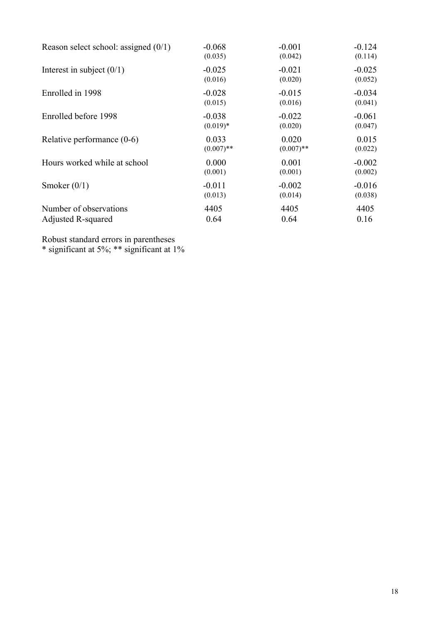| Reason select school: assigned $(0/1)$ | $-0.068$     | $-0.001$     | $-0.124$ |
|----------------------------------------|--------------|--------------|----------|
|                                        | (0.035)      | (0.042)      | (0.114)  |
| Interest in subject $(0/1)$            | $-0.025$     | $-0.021$     | $-0.025$ |
|                                        | (0.016)      | (0.020)      | (0.052)  |
| Enrolled in 1998                       | $-0.028$     | $-0.015$     | $-0.034$ |
|                                        | (0.015)      | (0.016)      | (0.041)  |
| Enrolled before 1998                   | $-0.038$     | $-0.022$     | $-0.061$ |
|                                        | $(0.019)*$   | (0.020)      | (0.047)  |
| Relative performance $(0-6)$           | 0.033        | 0.020        | 0.015    |
|                                        | $(0.007)$ ** | $(0.007)$ ** | (0.022)  |
| Hours worked while at school           | 0.000        | 0.001        | $-0.002$ |
|                                        | (0.001)      | (0.001)      | (0.002)  |
| Smoker $(0/1)$                         | $-0.011$     | $-0.002$     | $-0.016$ |
|                                        | (0.013)      | (0.014)      | (0.038)  |
| Number of observations                 | 4405         | 4405         | 4405     |
| Adjusted R-squared                     | 0.64         | 0.64         | 0.16     |

Robust standard errors in parentheses

\* significant at 5%; \*\* significant at 1%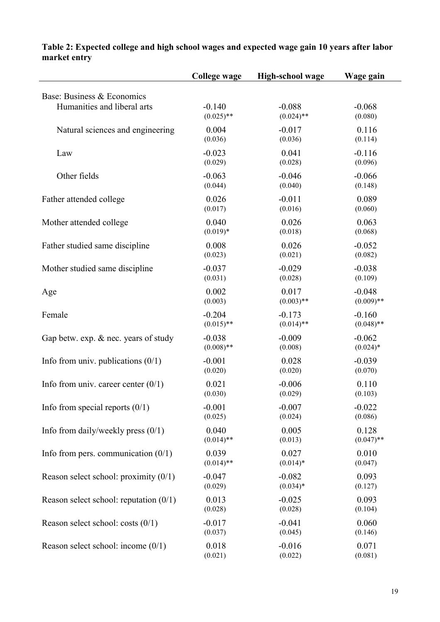|                                                           | College wage             | <b>High-school wage</b>  | Wage gain                |  |
|-----------------------------------------------------------|--------------------------|--------------------------|--------------------------|--|
| Base: Business & Economics<br>Humanities and liberal arts | $-0.140$<br>$(0.025)$ ** | $-0.088$<br>$(0.024)$ ** | $-0.068$<br>(0.080)      |  |
| Natural sciences and engineering                          | 0.004<br>(0.036)         | $-0.017$<br>(0.036)      | 0.116<br>(0.114)         |  |
| Law                                                       | $-0.023$<br>(0.029)      | 0.041<br>(0.028)         | $-0.116$<br>(0.096)      |  |
| Other fields                                              | $-0.063$<br>(0.044)      | $-0.046$<br>(0.040)      | $-0.066$<br>(0.148)      |  |
| Father attended college                                   | 0.026<br>(0.017)         | $-0.011$<br>(0.016)      | 0.089<br>(0.060)         |  |
| Mother attended college                                   | 0.040<br>$(0.019)*$      | 0.026<br>(0.018)         | 0.063<br>(0.068)         |  |
| Father studied same discipline                            | 0.008<br>(0.023)         | 0.026<br>(0.021)         | $-0.052$<br>(0.082)      |  |
| Mother studied same discipline                            | $-0.037$<br>(0.031)      | $-0.029$<br>(0.028)      | $-0.038$<br>(0.109)      |  |
| Age                                                       | 0.002<br>(0.003)         | 0.017<br>$(0.003)$ **    | $-0.048$<br>$(0.009)$ ** |  |
| Female                                                    | $-0.204$<br>$(0.015)$ ** | $-0.173$<br>$(0.014)$ ** | $-0.160$<br>$(0.048)$ ** |  |
| Gap betw. exp. & nec. years of study                      | $-0.038$<br>$(0.008)$ ** | $-0.009$<br>(0.008)      | $-0.062$<br>$(0.024)$ *  |  |
| Info from univ. publications $(0/1)$                      | $-0.001$<br>(0.020)      | 0.028<br>(0.020)         | $-0.039$<br>(0.070)      |  |
| Info from univ. career center $(0/1)$                     | 0.021<br>(0.030)         | $-0.006$<br>(0.029)      | 0.110<br>(0.103)         |  |
| Info from special reports $(0/1)$                         | $-0.001$<br>(0.025)      | $-0.007$<br>(0.024)      | $-0.022$<br>(0.086)      |  |
| Info from daily/weekly press $(0/1)$                      | 0.040<br>$(0.014)$ **    | 0.005<br>(0.013)         | 0.128<br>$(0.047)$ **    |  |
| Info from pers. communication $(0/1)$                     | 0.039<br>$(0.014)$ **    | 0.027<br>$(0.014)$ *     | 0.010<br>(0.047)         |  |
| Reason select school: proximity $(0/1)$                   | $-0.047$<br>(0.029)      | $-0.082$<br>$(0.034)*$   | 0.093<br>(0.127)         |  |
| Reason select school: reputation $(0/1)$                  | 0.013<br>(0.028)         | $-0.025$<br>(0.028)      | 0.093<br>(0.104)         |  |
| Reason select school: costs $(0/1)$                       | $-0.017$<br>(0.037)      | $-0.041$<br>(0.045)      | 0.060<br>(0.146)         |  |
| Reason select school: income $(0/1)$                      | 0.018<br>(0.021)         | $-0.016$<br>(0.022)      | 0.071<br>(0.081)         |  |

#### **Table 2: Expected college and high school wages and expected wage gain 10 years after labor market entry**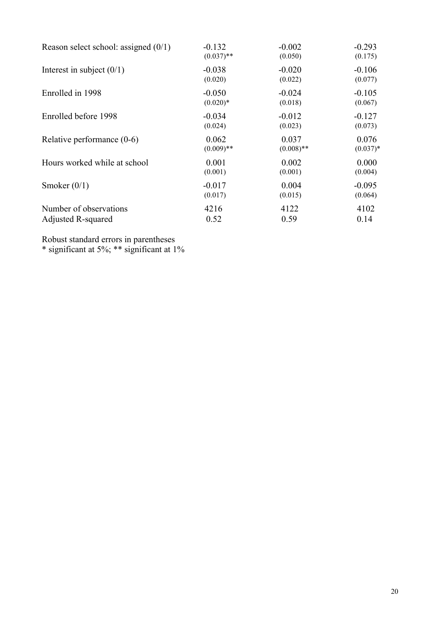| Reason select school: assigned $(0/1)$ | $-0.132$     | $-0.002$     | $-0.293$   |
|----------------------------------------|--------------|--------------|------------|
|                                        | $(0.037)$ ** | (0.050)      | (0.175)    |
| Interest in subject $(0/1)$            | $-0.038$     | $-0.020$     | $-0.106$   |
|                                        | (0.020)      | (0.022)      | (0.077)    |
| Enrolled in 1998                       | $-0.050$     | $-0.024$     | $-0.105$   |
|                                        | $(0.020)*$   | (0.018)      | (0.067)    |
| Enrolled before 1998                   | $-0.034$     | $-0.012$     | $-0.127$   |
|                                        | (0.024)      | (0.023)      | (0.073)    |
| Relative performance (0-6)             | 0.062        | 0.037        | 0.076      |
|                                        | $(0.009)$ ** | $(0.008)$ ** | $(0.037)*$ |
| Hours worked while at school           | 0.001        | 0.002        | 0.000      |
|                                        | (0.001)      | (0.001)      | (0.004)    |
| Smoker $(0/1)$                         | $-0.017$     | 0.004        | $-0.095$   |
|                                        | (0.017)      | (0.015)      | (0.064)    |
| Number of observations                 | 4216         | 4122         | 4102       |
| Adjusted R-squared                     | 0.52         | 0.59         | 0.14       |

Robust standard errors in parentheses

\* significant at 5%; \*\* significant at 1%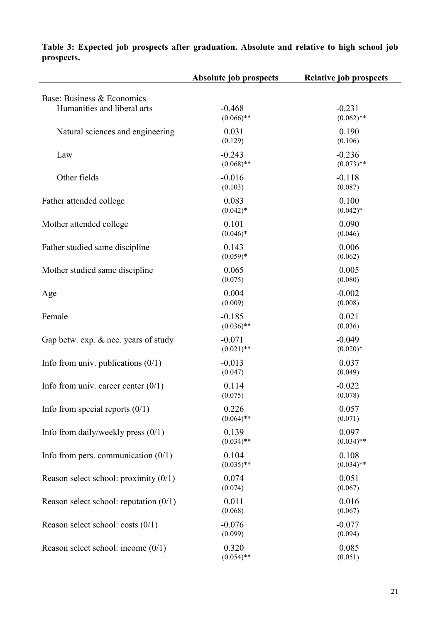|                                                           | Absolute job prospects   | <b>Relative job prospects</b> |
|-----------------------------------------------------------|--------------------------|-------------------------------|
| Base: Business & Economics<br>Humanities and liberal arts | $-0.468$<br>$(0.066)$ ** | $-0.231$<br>$(0.062)$ **      |
| Natural sciences and engineering                          | 0.031<br>(0.129)         | 0.190<br>(0.106)              |
| Law                                                       | $-0.243$<br>$(0.068)$ ** | $-0.236$<br>$(0.073)$ **      |
| Other fields                                              | $-0.016$<br>(0.103)      | $-0.118$<br>(0.087)           |
| Father attended college                                   | 0.083<br>$(0.042)*$      | 0.100<br>$(0.042)*$           |
| Mother attended college                                   | 0.101<br>$(0.046)*$      | 0.090<br>(0.046)              |
| Father studied same discipline                            | 0.143<br>$(0.059)*$      | 0.006<br>(0.062)              |
| Mother studied same discipline                            | 0.065<br>(0.075)         | 0.005<br>(0.080)              |
| Age                                                       | 0.004<br>(0.009)         | $-0.002$<br>(0.008)           |
| Female                                                    | $-0.185$<br>$(0.036)$ ** | 0.021<br>(0.036)              |
| Gap betw. exp. & nec. years of study                      | $-0.071$<br>$(0.021)$ ** | $-0.049$<br>$(0.020)*$        |
| Info from univ. publications $(0/1)$                      | $-0.013$<br>(0.047)      | 0.037<br>(0.049)              |
| Info from univ. career center $(0/1)$                     | 0.114<br>(0.075)         | $-0.022$<br>(0.078)           |
| Info from special reports $(0/1)$                         | 0.226<br>$(0.064)$ **    | 0.057<br>(0.071)              |
| Info from daily/weekly press $(0/1)$                      | 0.139<br>$(0.034)$ **    | 0.097<br>$(0.034)$ **         |
| Info from pers. communication $(0/1)$                     | 0.104<br>$(0.035)$ **    | 0.108<br>$(0.034)$ **         |
| Reason select school: proximity $(0/1)$                   | 0.074<br>(0.074)         | 0.051<br>(0.067)              |
| Reason select school: reputation $(0/1)$                  | 0.011<br>(0.068)         | 0.016<br>(0.067)              |
| Reason select school: costs $(0/1)$                       | $-0.076$<br>(0.099)      | $-0.077$<br>(0.094)           |
| Reason select school: income (0/1)                        | 0.320<br>$(0.054)$ **    | 0.085<br>(0.051)              |

**Table 3: Expected job prospects after graduation. Absolute and relative to high school job prospects.**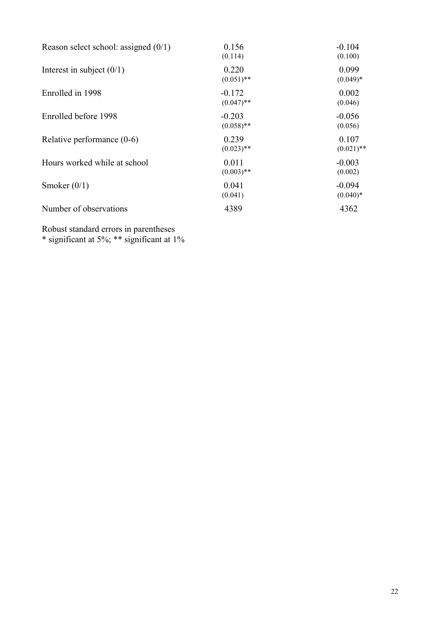| Reason select school: assigned $(0/1)$ | 0.156<br>(0.114)         | $-0.104$<br>(0.100)    |
|----------------------------------------|--------------------------|------------------------|
| Interest in subject $(0/1)$            | 0.220<br>$(0.051)$ **    | 0.099<br>$(0.049)*$    |
| Enrolled in 1998                       | $-0.172$<br>$(0.047)$ ** | 0.002<br>(0.046)       |
| Enrolled before 1998                   | $-0.203$<br>$(0.058)$ ** | $-0.056$<br>(0.056)    |
| Relative performance $(0-6)$           | 0.239<br>$(0.023)$ **    | 0.107<br>$(0.021)$ **  |
| Hours worked while at school           | 0.011<br>$(0.003)$ **    | $-0.003$<br>(0.002)    |
| Smoker $(0/1)$                         | 0.041<br>(0.041)         | $-0.094$<br>$(0.040)*$ |
| Number of observations                 | 4389                     | 4362                   |

Robust standard errors in parentheses

\* significant at 5%; \*\* significant at 1%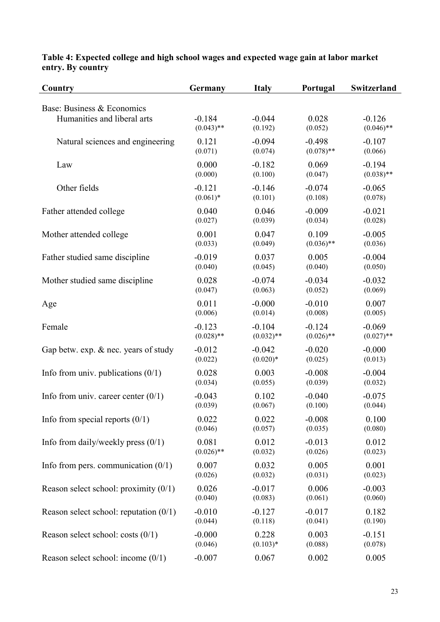| Country                                                   | Germany      | <b>Italy</b> | Portugal     | Switzerland  |
|-----------------------------------------------------------|--------------|--------------|--------------|--------------|
| Base: Business & Economics<br>Humanities and liberal arts | $-0.184$     | $-0.044$     | 0.028        | $-0.126$     |
|                                                           | $(0.043)$ ** | (0.192)      | (0.052)      | $(0.046)$ ** |
| Natural sciences and engineering                          | 0.121        | $-0.094$     | $-0.498$     | $-0.107$     |
|                                                           | (0.071)      | (0.074)      | $(0.078)$ ** | (0.066)      |
| Law                                                       | 0.000        | $-0.182$     | 0.069        | $-0.194$     |
|                                                           | (0.000)      | (0.100)      | (0.047)      | $(0.038)$ ** |
| Other fields                                              | $-0.121$     | $-0.146$     | $-0.074$     | $-0.065$     |
|                                                           | $(0.061)*$   | (0.101)      | (0.108)      | (0.078)      |
| Father attended college                                   | 0.040        | 0.046        | $-0.009$     | $-0.021$     |
|                                                           | (0.027)      | (0.039)      | (0.034)      | (0.028)      |
| Mother attended college                                   | 0.001        | 0.047        | 0.109        | $-0.005$     |
|                                                           | (0.033)      | (0.049)      | $(0.036)$ ** | (0.036)      |
| Father studied same discipline                            | $-0.019$     | 0.037        | 0.005        | $-0.004$     |
|                                                           | (0.040)      | (0.045)      | (0.040)      | (0.050)      |
| Mother studied same discipline                            | 0.028        | $-0.074$     | $-0.034$     | $-0.032$     |
|                                                           | (0.047)      | (0.063)      | (0.052)      | (0.069)      |
| Age                                                       | 0.011        | $-0.000$     | $-0.010$     | 0.007        |
|                                                           | (0.006)      | (0.014)      | (0.008)      | (0.005)      |
| Female                                                    | $-0.123$     | $-0.104$     | $-0.124$     | $-0.069$     |
|                                                           | $(0.028)$ ** | $(0.032)$ ** | $(0.026)$ ** | $(0.027)$ ** |
| Gap betw. exp. & nec. years of study                      | $-0.012$     | $-0.042$     | $-0.020$     | $-0.000$     |
|                                                           | (0.022)      | $(0.020)*$   | (0.025)      | (0.013)      |
| Info from univ. publications $(0/1)$                      | 0.028        | 0.003        | $-0.008$     | $-0.004$     |
|                                                           | (0.034)      | (0.055)      | (0.039)      | (0.032)      |
| Info from univ. career center $(0/1)$                     | $-0.043$     | 0.102        | $-0.040$     | $-0.075$     |
|                                                           | (0.039)      | (0.067)      | (0.100)      | (0.044)      |
| Info from special reports $(0/1)$                         | 0.022        | 0.022        | $-0.008$     | 0.100        |
|                                                           | (0.046)      | (0.057)      | (0.035)      | (0.080)      |
| Info from daily/weekly press $(0/1)$                      | 0.081        | 0.012        | $-0.013$     | 0.012        |
|                                                           | $(0.026)$ ** | (0.032)      | (0.026)      | (0.023)      |
| Info from pers. communication $(0/1)$                     | 0.007        | 0.032        | 0.005        | 0.001        |
|                                                           | (0.026)      | (0.032)      | (0.031)      | (0.023)      |
| Reason select school: proximity $(0/1)$                   | 0.026        | $-0.017$     | 0.006        | $-0.003$     |
|                                                           | (0.040)      | (0.083)      | (0.061)      | (0.060)      |
| Reason select school: reputation $(0/1)$                  | $-0.010$     | $-0.127$     | $-0.017$     | 0.182        |
|                                                           | (0.044)      | (0.118)      | (0.041)      | (0.190)      |
| Reason select school: costs $(0/1)$                       | $-0.000$     | 0.228        | 0.003        | $-0.151$     |
|                                                           | (0.046)      | $(0.103)*$   | (0.088)      | (0.078)      |
| Reason select school: income $(0/1)$                      | $-0.007$     | 0.067        | 0.002        | 0.005        |

#### **Table 4: Expected college and high school wages and expected wage gain at labor market entry. By country**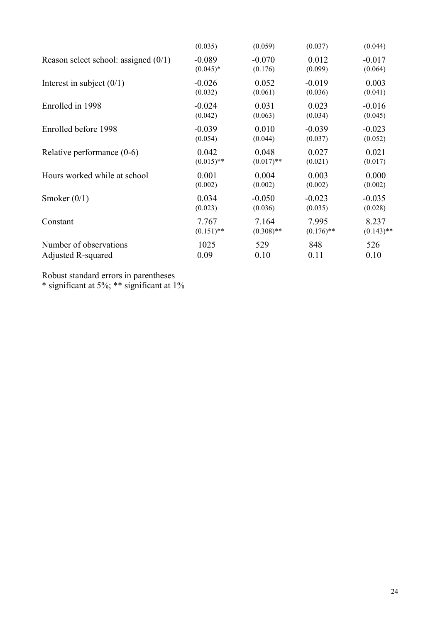|                                        | (0.035)      | (0.059)      | (0.037)      | (0.044)      |
|----------------------------------------|--------------|--------------|--------------|--------------|
| Reason select school: assigned $(0/1)$ | $-0.089$     | $-0.070$     | 0.012        | $-0.017$     |
|                                        | $(0.045)^*$  | (0.176)      | (0.099)      | (0.064)      |
| Interest in subject $(0/1)$            | $-0.026$     | 0.052        | $-0.019$     | 0.003        |
|                                        | (0.032)      | (0.061)      | (0.036)      | (0.041)      |
| Enrolled in 1998                       | $-0.024$     | 0.031        | 0.023        | $-0.016$     |
|                                        | (0.042)      | (0.063)      | (0.034)      | (0.045)      |
| Enrolled before 1998                   | $-0.039$     | 0.010        | $-0.039$     | $-0.023$     |
|                                        | (0.054)      | (0.044)      | (0.037)      | (0.052)      |
| Relative performance $(0-6)$           | 0.042        | 0.048        | 0.027        | 0.021        |
|                                        | $(0.015)$ ** | $(0.017)$ ** | (0.021)      | (0.017)      |
| Hours worked while at school           | 0.001        | 0.004        | 0.003        | 0.000        |
|                                        | (0.002)      | (0.002)      | (0.002)      | (0.002)      |
| Smoker $(0/1)$                         | 0.034        | $-0.050$     | $-0.023$     | $-0.035$     |
|                                        | (0.023)      | (0.036)      | (0.035)      | (0.028)      |
| Constant                               | 7.767        | 7.164        | 7.995        | 8.237        |
|                                        | $(0.151)$ ** | $(0.308)$ ** | $(0.176)$ ** | $(0.143)$ ** |
| Number of observations                 | 1025         | 529          | 848          | 526          |
| Adjusted R-squared                     | 0.09         | 0.10         | 0.11         | 0.10         |

Robust standard errors in parentheses

\* significant at 5%; \*\* significant at 1%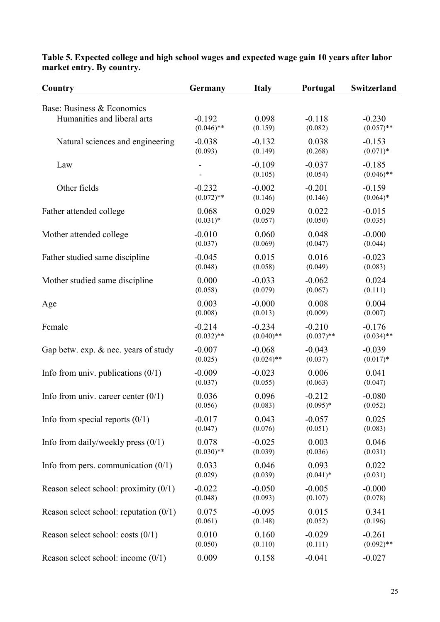| Country                                  | Germany      | <b>Italy</b>        | Portugal            | Switzerland              |
|------------------------------------------|--------------|---------------------|---------------------|--------------------------|
| Base: Business & Economics               |              |                     |                     |                          |
| Humanities and liberal arts              | $-0.192$     | 0.098               | $-0.118$            | $-0.230$                 |
|                                          | $(0.046)$ ** | (0.159)             | (0.082)             | $(0.057)$ **             |
| Natural sciences and engineering         | $-0.038$     | $-0.132$            | 0.038               | $-0.153$                 |
|                                          | (0.093)      | (0.149)             | (0.268)             | $(0.071)*$               |
| Law                                      |              | $-0.109$<br>(0.105) | $-0.037$<br>(0.054) | $-0.185$<br>$(0.046)$ ** |
| Other fields                             | $-0.232$     | $-0.002$            | $-0.201$            | $-0.159$                 |
|                                          | $(0.072)$ ** | (0.146)             | (0.146)             | $(0.064)*$               |
| Father attended college                  | 0.068        | 0.029               | 0.022               | $-0.015$                 |
|                                          | $(0.031)*$   | (0.057)             | (0.050)             | (0.035)                  |
| Mother attended college                  | $-0.010$     | 0.060               | 0.048               | $-0.000$                 |
|                                          | (0.037)      | (0.069)             | (0.047)             | (0.044)                  |
| Father studied same discipline           | $-0.045$     | 0.015               | 0.016               | $-0.023$                 |
|                                          | (0.048)      | (0.058)             | (0.049)             | (0.083)                  |
| Mother studied same discipline           | 0.000        | $-0.033$            | $-0.062$            | 0.024                    |
|                                          | (0.058)      | (0.079)             | (0.067)             | (0.111)                  |
| Age                                      | 0.003        | $-0.000$            | 0.008               | 0.004                    |
|                                          | (0.008)      | (0.013)             | (0.009)             | (0.007)                  |
| Female                                   | $-0.214$     | $-0.234$            | $-0.210$            | $-0.176$                 |
|                                          | $(0.032)$ ** | $(0.040)$ **        | $(0.037)$ **        | $(0.034)$ **             |
| Gap betw. exp. & nec. years of study     | $-0.007$     | $-0.068$            | $-0.043$            | $-0.039$                 |
|                                          | (0.025)      | $(0.024)$ **        | (0.037)             | $(0.017)*$               |
| Info from univ. publications $(0/1)$     | $-0.009$     | $-0.023$            | 0.006               | 0.041                    |
|                                          | (0.037)      | (0.055)             | (0.063)             | (0.047)                  |
| Info from univ. career center $(0/1)$    | 0.036        | 0.096               | $-0.212$            | $-0.080$                 |
|                                          | (0.056)      | (0.083)             | $(0.095)*$          | (0.052)                  |
| Info from special reports $(0/1)$        | $-0.017$     | 0.043               | $-0.057$            | 0.025                    |
|                                          | (0.047)      | (0.076)             | (0.051)             | (0.083)                  |
| Info from daily/weekly press $(0/1)$     | 0.078        | $-0.025$            | 0.003               | 0.046                    |
|                                          | $(0.030)$ ** | (0.039)             | (0.036)             | (0.031)                  |
| Info from pers. communication $(0/1)$    | 0.033        | 0.046               | 0.093               | 0.022                    |
|                                          | (0.029)      | (0.039)             | $(0.041)*$          | (0.031)                  |
| Reason select school: proximity $(0/1)$  | $-0.022$     | $-0.050$            | $-0.005$            | $-0.000$                 |
|                                          | (0.048)      | (0.093)             | (0.107)             | (0.078)                  |
| Reason select school: reputation $(0/1)$ | 0.075        | $-0.095$            | 0.015               | 0.341                    |
|                                          | (0.061)      | (0.148)             | (0.052)             | (0.196)                  |
| Reason select school: costs $(0/1)$      | 0.010        | 0.160               | $-0.029$            | $-0.261$                 |
|                                          | (0.050)      | (0.110)             | (0.111)             | $(0.092)$ **             |
| Reason select school: income $(0/1)$     | 0.009        | 0.158               | $-0.041$            | $-0.027$                 |

#### **Table 5. Expected college and high school wages and expected wage gain 10 years after labor market entry. By country.**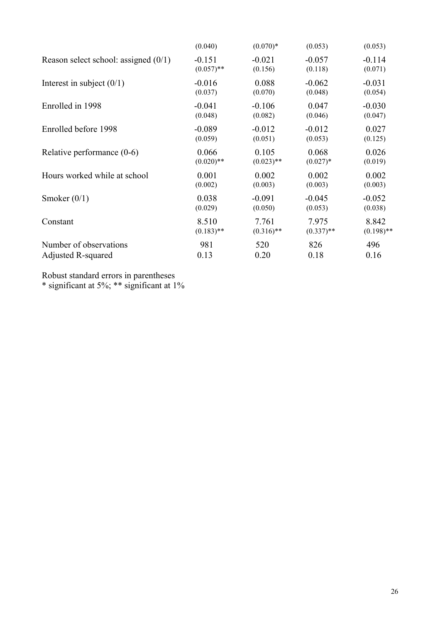|                                        | (0.040)      | $(0.070)*$   | (0.053)      | (0.053)      |
|----------------------------------------|--------------|--------------|--------------|--------------|
| Reason select school: assigned $(0/1)$ | $-0.151$     | $-0.021$     | $-0.057$     | $-0.114$     |
|                                        | $(0.057)$ ** | (0.156)      | (0.118)      | (0.071)      |
| Interest in subject $(0/1)$            | $-0.016$     | 0.088        | $-0.062$     | $-0.031$     |
|                                        | (0.037)      | (0.070)      | (0.048)      | (0.054)      |
| Enrolled in 1998                       | $-0.041$     | $-0.106$     | 0.047        | $-0.030$     |
|                                        | (0.048)      | (0.082)      | (0.046)      | (0.047)      |
| Enrolled before 1998                   | $-0.089$     | $-0.012$     | $-0.012$     | 0.027        |
|                                        | (0.059)      | (0.051)      | (0.053)      | (0.125)      |
| Relative performance $(0-6)$           | 0.066        | 0.105        | 0.068        | 0.026        |
|                                        | $(0.020)$ ** | $(0.023)$ ** | $(0.027)*$   | (0.019)      |
| Hours worked while at school           | 0.001        | 0.002        | 0.002        | 0.002        |
|                                        | (0.002)      | (0.003)      | (0.003)      | (0.003)      |
| Smoker $(0/1)$                         | 0.038        | $-0.091$     | $-0.045$     | $-0.052$     |
|                                        | (0.029)      | (0.050)      | (0.053)      | (0.038)      |
| Constant                               | 8.510        | 7.761        | 7.975        | 8.842        |
|                                        | $(0.183)$ ** | $(0.316)$ ** | $(0.337)$ ** | $(0.198)$ ** |
| Number of observations                 | 981          | 520          | 826          | 496          |
| Adjusted R-squared                     | 0.13         | 0.20         | 0.18         | 0.16         |

Robust standard errors in parentheses

\* significant at 5%; \*\* significant at 1%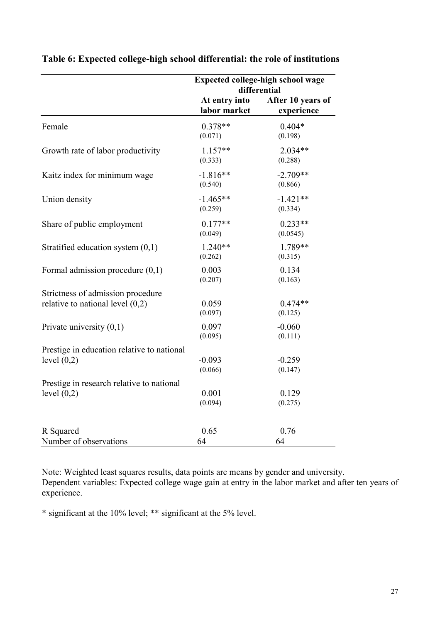|                                            | Expected college-high school wage<br>differential |                                 |
|--------------------------------------------|---------------------------------------------------|---------------------------------|
|                                            | At entry into<br>labor market                     | After 10 years of<br>experience |
| Female                                     | $0.378**$<br>(0.071)                              | $0.404*$<br>(0.198)             |
| Growth rate of labor productivity          | $1.157**$<br>(0.333)                              | $2.034**$<br>(0.288)            |
| Kaitz index for minimum wage               | $-1.816**$<br>(0.540)                             | $-2.709**$<br>(0.866)           |
| Union density                              | $-1.465**$<br>(0.259)                             | $-1.421**$<br>(0.334)           |
| Share of public employment                 | $0.177**$<br>(0.049)                              | $0.233**$<br>(0.0545)           |
| Stratified education system $(0,1)$        | $1.240**$<br>(0.262)                              | 1.789**<br>(0.315)              |
| Formal admission procedure $(0,1)$         | 0.003<br>(0.207)                                  | 0.134<br>(0.163)                |
| Strictness of admission procedure          |                                                   |                                 |
| relative to national level $(0,2)$         | 0.059<br>(0.097)                                  | $0.474**$<br>(0.125)            |
| Private university $(0,1)$                 | 0.097<br>(0.095)                                  | $-0.060$<br>(0.111)             |
| Prestige in education relative to national |                                                   |                                 |
| level $(0,2)$                              | $-0.093$<br>(0.066)                               | $-0.259$<br>(0.147)             |
| Prestige in research relative to national  |                                                   |                                 |
| level $(0,2)$                              | 0.001<br>(0.094)                                  | 0.129<br>(0.275)                |
| R Squared                                  | 0.65                                              | 0.76                            |
| Number of observations                     | 64                                                | 64                              |

**Table 6: Expected college-high school differential: the role of institutions**

Note: Weighted least squares results, data points are means by gender and university. Dependent variables: Expected college wage gain at entry in the labor market and after ten years of experience.

\* significant at the 10% level; \*\* significant at the 5% level.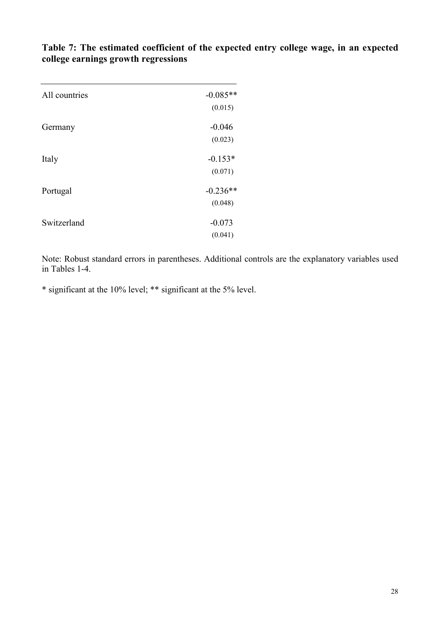| All countries | $-0.085**$ |
|---------------|------------|
|               | (0.015)    |
| Germany       | $-0.046$   |
|               | (0.023)    |
| Italy         | $-0.153*$  |
|               | (0.071)    |
| Portugal      | $-0.236**$ |
|               | (0.048)    |
| Switzerland   | $-0.073$   |
|               | (0.041)    |

**Table 7: The estimated coefficient of the expected entry college wage, in an expected college earnings growth regressions**

Note: Robust standard errors in parentheses. Additional controls are the explanatory variables used in Tables 1-4.

\* significant at the 10% level; \*\* significant at the 5% level.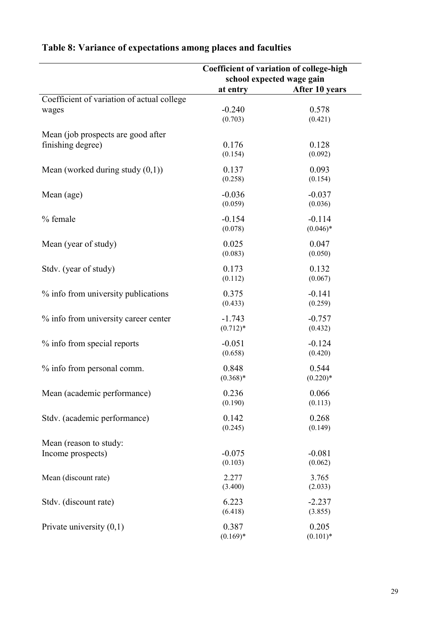|                                            | Coefficient of variation of college-high<br>school expected wage gain |                |
|--------------------------------------------|-----------------------------------------------------------------------|----------------|
|                                            | at entry                                                              | After 10 years |
| Coefficient of variation of actual college |                                                                       |                |
| wages                                      | $-0.240$                                                              | 0.578          |
|                                            | (0.703)                                                               | (0.421)        |
| Mean (job prospects are good after         |                                                                       |                |
| finishing degree)                          | 0.176                                                                 | 0.128          |
|                                            | (0.154)                                                               | (0.092)        |
|                                            |                                                                       |                |
| Mean (worked during study $(0,1)$ )        | 0.137                                                                 | 0.093          |
|                                            | (0.258)                                                               | (0.154)        |
| Mean (age)                                 | $-0.036$                                                              | $-0.037$       |
|                                            | (0.059)                                                               | (0.036)        |
|                                            | $-0.154$                                                              | $-0.114$       |
| % female                                   | (0.078)                                                               | $(0.046)*$     |
|                                            |                                                                       |                |
| Mean (year of study)                       | 0.025                                                                 | 0.047          |
|                                            | (0.083)                                                               | (0.050)        |
| Stdv. (year of study)                      | 0.173                                                                 | 0.132          |
|                                            | (0.112)                                                               | (0.067)        |
|                                            |                                                                       |                |
| % info from university publications        | 0.375                                                                 | $-0.141$       |
|                                            | (0.433)                                                               | (0.259)        |
| % info from university career center       | $-1.743$                                                              | $-0.757$       |
|                                            | $(0.712)*$                                                            | (0.432)        |
| % info from special reports                | $-0.051$                                                              | $-0.124$       |
|                                            | (0.658)                                                               | (0.420)        |
|                                            |                                                                       |                |
| % info from personal comm.                 | 0.848                                                                 | 0.544          |
|                                            | $(0.368)*$                                                            | $(0.220)*$     |
| Mean (academic performance)                | 0.236                                                                 | 0.066          |
|                                            | (0.190)                                                               | (0.113)        |
| Stdv. (academic performance)               | 0.142                                                                 | 0.268          |
|                                            | (0.245)                                                               | (0.149)        |
|                                            |                                                                       |                |
| Mean (reason to study:                     |                                                                       |                |
| Income prospects)                          | $-0.075$                                                              | $-0.081$       |
|                                            | (0.103)                                                               | (0.062)        |
| Mean (discount rate)                       | 2.277                                                                 | 3.765          |
|                                            | (3.400)                                                               | (2.033)        |
| Stdv. (discount rate)                      | 6.223                                                                 | $-2.237$       |
|                                            | (6.418)                                                               | (3.855)        |
|                                            |                                                                       |                |
| Private university $(0,1)$                 | 0.387                                                                 | 0.205          |
|                                            | $(0.169)*$                                                            | $(0.101)*$     |

## **Table 8: Variance of expectations among places and faculties**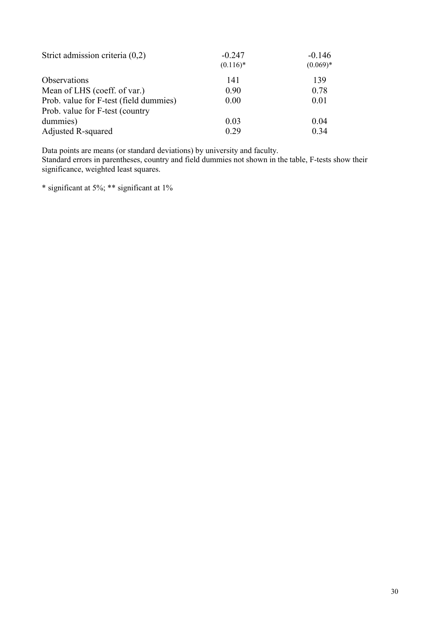| Strict admission criteria $(0,2)$      | $-0.247$    | $-0.146$   |
|----------------------------------------|-------------|------------|
|                                        | $(0.116)$ * | $(0.069)*$ |
| Observations                           | 141         | 139        |
| Mean of LHS (coeff. of var.)           | 0.90        | 0.78       |
| Prob. value for F-test (field dummies) | 0.00        | 0.01       |
| Prob. value for F-test (country        |             |            |
| dummies)                               | 0.03        | 0.04       |
| Adjusted R-squared                     | 0.29        | 0.34       |

Data points are means (or standard deviations) by university and faculty. Standard errors in parentheses, country and field dummies not shown in the table, F-tests show their significance, weighted least squares.

\* significant at 5%; \*\* significant at 1%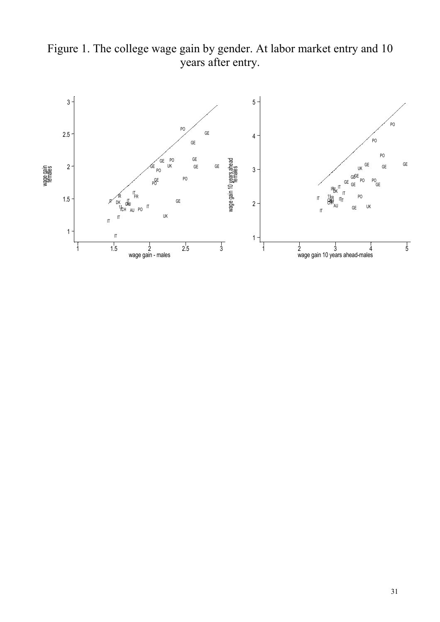

Figure 1. The college wage gain by gender. At labor market entry and 10 years after entry.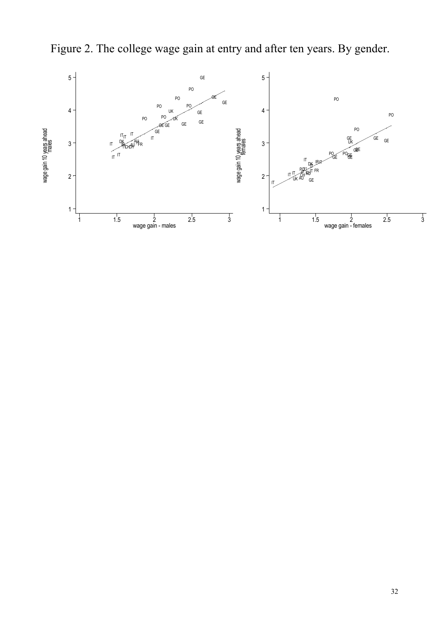

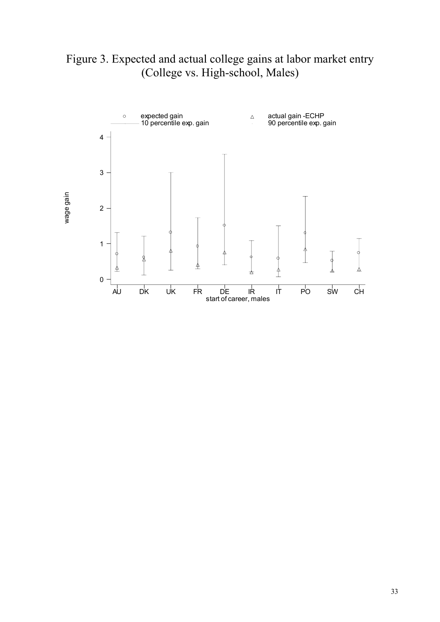Figure 3. Expected and actual college gains at labor market entry (College vs. High-school, Males)

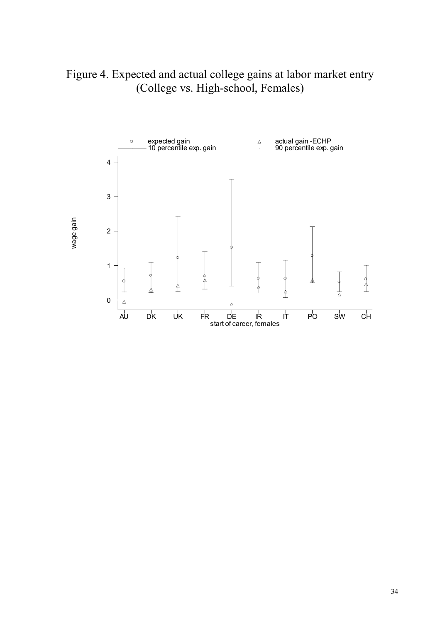Figure 4. Expected and actual college gains at labor market entry (College vs. High-school, Females)

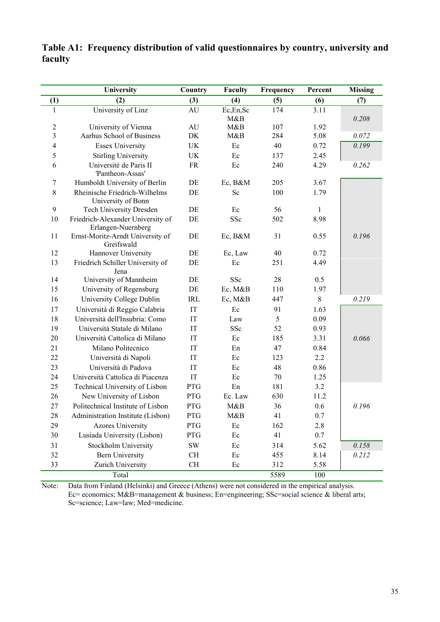|                 | University                                              | Country       | <b>Faculty</b> | Frequency | Percent | <b>Missing</b> |
|-----------------|---------------------------------------------------------|---------------|----------------|-----------|---------|----------------|
| (1)             | (2)                                                     | (3)           | (4)            | (5)       | (6)     | (7)            |
| 1               | University of Linz                                      | AU            | Ec,En,Sc       | 174       | 3.11    |                |
|                 |                                                         |               | M&B            |           |         | 0.208          |
| $\sqrt{2}$<br>3 | University of Vienna<br>Aarhus School of Business       | $\mathrm{AU}$ | M&B            | 107       | 1.92    |                |
|                 |                                                         | DK            | M&B            | 284       | 5.08    | 0.072          |
| 4               | <b>Essex University</b>                                 | <b>UK</b>     | Ec             | 40        | 0.72    | 0.199          |
| 5               | <b>Stirling University</b>                              | UK            | Ec             | 137       | 2.45    |                |
| 6               | Université de Paris II<br>'Pantheon-Assas'              | <b>FR</b>     | Ec             | 240       | 4.29    | 0.262          |
| 7               | Humboldt University of Berlin                           | DE            | Ec, B&M        | 205       | 3.67    |                |
| 8               | Rheinische Friedrich-Wilhelms<br>University of Bonn     | DE            | Sc             | 100       | 1.79    |                |
| 9               | Tech University Dresden                                 | DE            | Ec             | 56        | 1       |                |
| 10              | Friedrich-Alexander University of<br>Erlangen-Nuernberg | DE            | SSc            | 502       | 8.98    |                |
| 11              | Ernst-Moritz-Arndt University of<br>Greifswald          | DE            | Ec, B&M        | 31        | 0.55    | 0.196          |
| 12              | Hannover University                                     | DE            | Ec, Law        | 40        | 0.72    |                |
| 13              | Friedrich Schiller University of<br>Jena                | DE            | Ec             | 251       | 4.49    |                |
| 14              | University of Mannheim                                  | DE            | SSc            | 28        | 0.5     |                |
| 15              | University of Regensburg                                | DE            | Ec, M&B        | 110       | 1.97    |                |
| 16              | University College Dublin                               | <b>IRL</b>    | Ec, M&B        | 447       | $8\,$   | 0.219          |
| 17              | Università di Reggio Calabria                           | IT            | Ec             | 91        | 1.63    |                |
| 18              | Università dell'Insubria: Como                          | IT            | Law            | 5         | 0.09    |                |
| 19              | Università Statale di Milano                            | IT            | SSc            | 52        | 0.93    |                |
| 20              | Università Cattolica di Milano                          | IT            | Ec             | 185       | 3.31    | 0.066          |
| 21              | Milano Politecnico                                      | IT            | En             | 47        | 0.84    |                |
| 22              | Università di Napoli                                    | IT            | Ec             | 123       | $2.2\,$ |                |
| 23              | Università di Padova                                    | IT            | Ec             | 48        | 0.86    |                |
| 24              | Università Cattolica di Piacenza                        | IT            | Ec             | 70        | 1.25    |                |
| 25              | Technical University of Lisbon                          | <b>PTG</b>    | En             | 181       | 3.2     |                |
| 26              | New University of Lisbon                                | <b>PTG</b>    | Ec. Law        | 630       | 11.2    |                |
| 27              | Politechnical Institute of Lisbon                       | PTG           | M&B            | 36        | 0.6     | 0.196          |
| 28              | Administration Institute (Lisbon)                       | PTG           | M&B            | 41        | $0.7\,$ |                |
| 29              | <b>Azores University</b>                                | <b>PTG</b>    | Ec             | 162       | 2.8     |                |
| 30              | Lusiada University (Lisbon)                             | PTG           | Ec             | 41        | 0.7     |                |
| 31              | Stockholm University                                    | $\mathrm{SW}$ | Ec             | 314       | 5.62    | 0.158          |
| 32              | <b>Bern University</b>                                  | $\rm CH$      | Ec             | 455       | 8.14    | 0.212          |
| 33              | Zurich University                                       | CH            | Ec             | 312       | 5.58    |                |
|                 | Total                                                   |               |                | 5589      | 100     |                |

**Table A1: Frequency distribution of valid questionnaires by country, university and faculty**

Note: Data from Finland (Helsinki) and Greece (Athens) were not considered in the empirical analysis. Ec= economics; M&B=management & business; En=engineering; SSc=social science & liberal arts; Sc=science; Law=law; Med=medicine.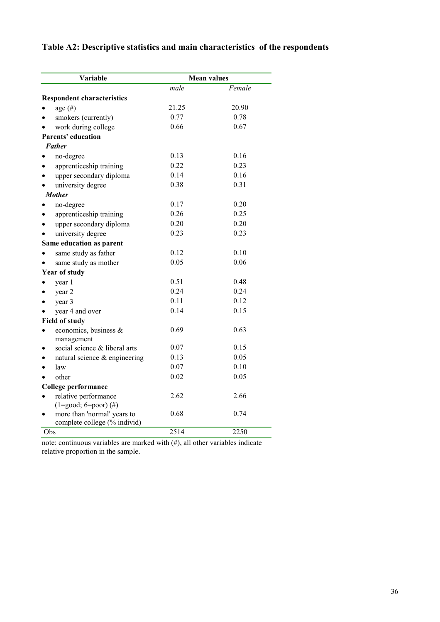#### **Table A2: Descriptive statistics and main characteristics of the respondents**

|     | Variable                                                    |       | <b>Mean values</b> |
|-----|-------------------------------------------------------------|-------|--------------------|
|     |                                                             | male  | Female             |
|     | <b>Respondent characteristics</b>                           |       |                    |
|     | age $(\#)$                                                  | 21.25 | 20.90              |
|     | smokers (currently)                                         | 0.77  | 0.78               |
|     | work during college                                         | 0.66  | 0.67               |
|     | Parents' education                                          |       |                    |
|     | <b>Father</b>                                               |       |                    |
|     | no-degree                                                   | 0.13  | 0.16               |
|     | apprenticeship training                                     | 0.22  | 0.23               |
|     | upper secondary diploma                                     | 0.14  | 0.16               |
|     | university degree                                           | 0.38  | 0.31               |
|     | <b>Mother</b>                                               |       |                    |
|     | no-degree                                                   | 0.17  | 0.20               |
|     | apprenticeship training                                     | 0.26  | 0.25               |
|     | upper secondary diploma                                     | 0.20  | 0.20               |
|     | university degree                                           | 0.23  | 0.23               |
|     | Same education as parent                                    |       |                    |
|     | same study as father                                        | 0.12  | 0.10               |
|     | same study as mother                                        | 0.05  | 0.06               |
|     | <b>Year of study</b>                                        |       |                    |
|     | year 1                                                      | 0.51  | 0.48               |
|     | year 2                                                      | 0.24  | 0.24               |
|     | year 3                                                      | 0.11  | 0.12               |
|     | year 4 and over                                             | 0.14  | 0.15               |
|     | <b>Field of study</b>                                       |       |                    |
|     | economics, business &                                       | 0.69  | 0.63               |
|     | management                                                  |       |                    |
|     | social science & liberal arts                               | 0.07  | 0.15               |
|     | natural science & engineering                               | 0.13  | 0.05               |
|     | law                                                         | 0.07  | 0.10               |
|     | other                                                       | 0.02  | 0.05               |
|     | College performance                                         |       |                    |
|     | relative performance                                        | 2.62  | 2.66               |
|     | $(1 = good; 6 = poor)$ (#)                                  | 0.68  | 0.74               |
|     | more than 'normal' years to<br>complete college (% individ) |       |                    |
| Obs |                                                             | 2514  | 2250               |

note: continuous variables are marked with (#), all other variables indicate relative proportion in the sample.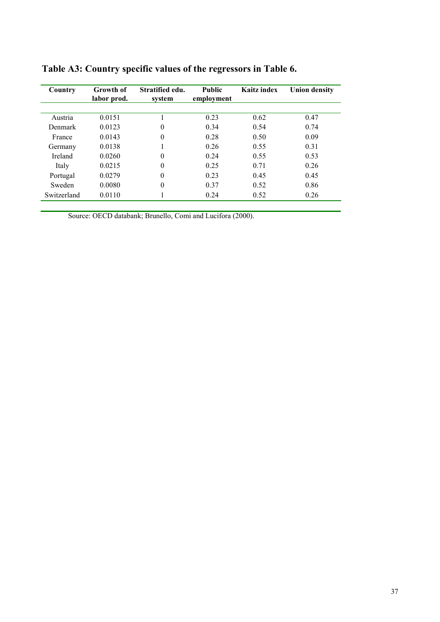| Country        | Growth of<br>labor prod. | Stratified edu.<br>system | <b>Public</b><br>employment | Kaitz index | <b>Union density</b> |
|----------------|--------------------------|---------------------------|-----------------------------|-------------|----------------------|
|                |                          |                           |                             |             |                      |
| Austria        | 0.0151                   |                           | 0.23                        | 0.62        | 0.47                 |
| <b>Denmark</b> | 0.0123                   | $\overline{0}$            | 0.34                        | 0.54        | 0.74                 |
| France         | 0.0143                   | $\boldsymbol{0}$          | 0.28                        | 0.50        | 0.09                 |
| Germany        | 0.0138                   |                           | 0.26                        | 0.55        | 0.31                 |
| <b>Ireland</b> | 0.0260                   | $\boldsymbol{0}$          | 0.24                        | 0.55        | 0.53                 |
| Italy          | 0.0215                   | $\boldsymbol{0}$          | 0.25                        | 0.71        | 0.26                 |
| Portugal       | 0.0279                   | $\overline{0}$            | 0.23                        | 0.45        | 0.45                 |
| Sweden         | 0.0080                   | $\overline{0}$            | 0.37                        | 0.52        | 0.86                 |
| Switzerland    | 0.0110                   |                           | 0.24                        | 0.52        | 0.26                 |

**Table A3: Country specific values of the regressors in Table 6.**

Source: OECD databank; Brunello, Comi and Lucifora (2000).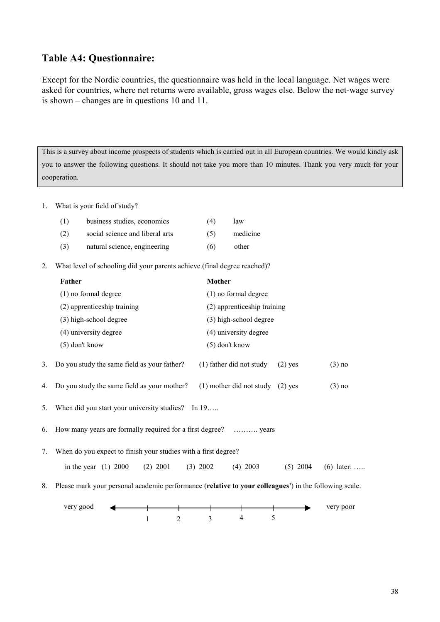#### **Table A4: Questionnaire:**

Except for the Nordic countries, the questionnaire was held in the local language. Net wages were asked for countries, where net returns were available, gross wages else. Below the net-wage survey is shown – changes are in questions 10 and 11.

This is a survey about income prospects of students which is carried out in all European countries. We would kindly ask you to answer the following questions. It should not take you more than 10 minutes. Thank you very much for your cooperation.

1. What is your field of study?

| (1) | business studies, economics     | (4) | law      |
|-----|---------------------------------|-----|----------|
| (2) | social science and liberal arts | (5) | medicine |
| (3) | natural science, engineering    | (6) | other    |

2. What level of schooling did your parents achieve (final degree reached)?

|    | Father                                                                                                | <b>Mother</b>                        |            |              |
|----|-------------------------------------------------------------------------------------------------------|--------------------------------------|------------|--------------|
|    | (1) no formal degree                                                                                  | (1) no formal degree                 |            |              |
|    | (2) apprenticeship training                                                                           | (2) apprenticeship training          |            |              |
|    | (3) high-school degree                                                                                | (3) high-school degree               |            |              |
|    | (4) university degree                                                                                 | (4) university degree                |            |              |
|    | $(5)$ don't know                                                                                      | $(5)$ don't know                     |            |              |
| 3. | Do you study the same field as your father?                                                           | (1) father did not study             | $(2)$ yes  | $(3)$ no     |
| 4. | Do you study the same field as your mother?                                                           | $(1)$ mother did not study $(2)$ yes |            | $(3)$ no     |
| 5. | When did you start your university studies? In 19                                                     |                                      |            |              |
| 6. | How many years are formally required for a first degree?  years                                       |                                      |            |              |
| 7. | When do you expect to finish your studies with a first degree?                                        |                                      |            |              |
|    | in the year $(1)$ 2000<br>$(2)$ 2001                                                                  | $(4)$ 2003<br>$(3)$ 2002             | $(5)$ 2004 | $(6)$ later: |
| 8. | Please mark your personal academic performance (relative to your colleagues') in the following scale. |                                      |            |              |
|    | very good                                                                                             |                                      |            | very poor    |
|    | $2^{\circ}$                                                                                           | 5<br>4<br>$\mathcal{E}$              |            |              |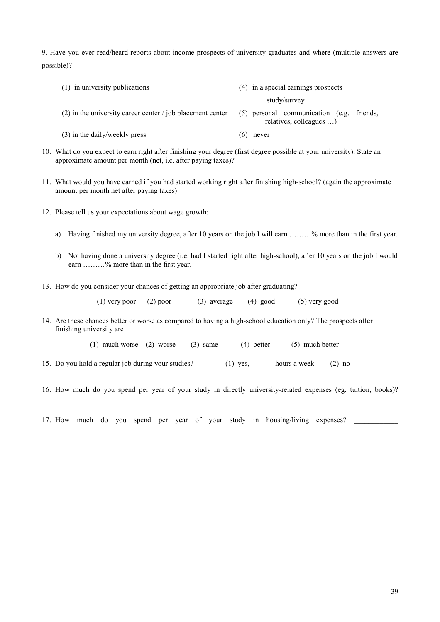9. Have you ever read/heard reports about income prospects of university graduates and where (multiple answers are possible)?

| (1) in university publications                               | (4) in a special earnings prospects                                |
|--------------------------------------------------------------|--------------------------------------------------------------------|
|                                                              | study/survey                                                       |
| $(2)$ in the university career center / job placement center | (5) personal communication (e.g. friends,<br>relatives, colleagues |
| (3) in the daily/weekly press                                | (6)<br>never                                                       |

- 10. What do you expect to earn right after finishing your degree (first degree possible at your university). State an approximate amount per month (net, i.e. after paying taxes)?
- 11. What would you have earned if you had started working right after finishing high-school? (again the approximate amount per month net after paying taxes) \_\_\_\_\_\_\_\_\_\_\_\_\_\_\_\_\_\_\_\_\_\_
- 12. Please tell us your expectations about wage growth:

 $\frac{1}{2}$ 

- a) Having finished my university degree, after 10 years on the job I will earn ………% more than in the first year.
- b) Not having done a university degree (i.e. had I started right after high-school), after 10 years on the job I would earn ………% more than in the first year.
- 13. How do you consider your chances of getting an appropriate job after graduating?

(1) very poor (2) poor (3) average (4) good (5) very good

14. Are these chances better or worse as compared to having a high-school education only? The prospects after finishing university are

(1) much worse (2) worse (3) same (4) better (5) much better

- 15. Do you hold a regular job during your studies? (1) yes, \_\_\_\_\_\_ hours a week (2) no
- 16. How much do you spend per year of your study in directly university-related expenses (eg. tuition, books)?

<sup>17.</sup> How much do you spend per year of your study in housing/living expenses?